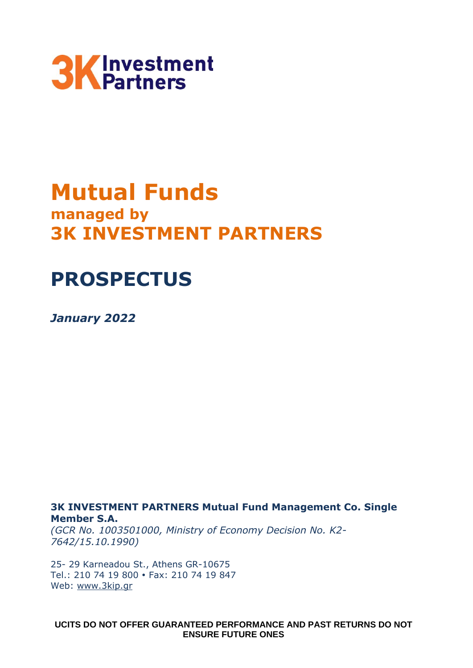

# **Mutual Funds managed by 3K INVESTMENT PARTNERS**

# **PROSPECTUS**

*January 2022*

**3Κ INVESTMENT PARTNERS Mutual Fund Management Co. Single Member S.A.**

*(GCR No. 1003501000, Ministry of Economy Decision No. Κ2- 7642/15.10.1990)*

25- 29 Karneadou St., Athens GR-10675 Tel.: 210 74 19 800 Fax: 210 74 19 847 Web: [www.3kip.gr](http://www.3kip.gr/)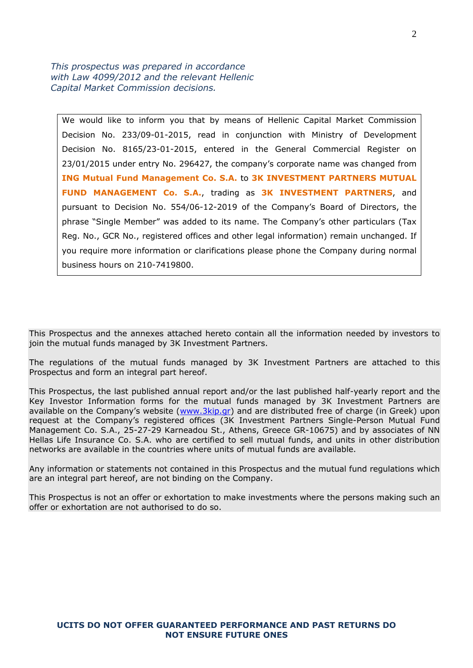*This prospectus was prepared in accordance with Law 4099/2012 and the relevant Hellenic Capital Market Commission decisions.*

We would like to inform you that by means of Hellenic Capital Market Commission Decision No. 233/09-01-2015, read in conjunction with Ministry of Development Decision No. 8165/23-01-2015, entered in the General Commercial Register on 23/01/2015 under entry No. 296427, the company's corporate name was changed from **ING Mutual Fund Management Co. S.A.** to **3K INVESTMENT PARTNERS MUTUAL FUND MANAGEMENT Co. S.A.**, trading as **3K INVESTMENT PARTNERS**, and pursuant to Decision No. 554/06-12-2019 of the Company's Board of Directors, the phrase "Single Member" was added to its name. The Company's other particulars (Tax Reg. No., GCR No., registered offices and other legal information) remain unchanged. If you require more information or clarifications please phone the Company during normal business hours on 210-7419800.

This Prospectus and the annexes attached hereto contain all the information needed by investors to join the mutual funds managed by 3K Investment Partners.

The regulations of the mutual funds managed by 3Κ Investment Partners are attached to this Prospectus and form an integral part hereof.

This Prospectus, the last published annual report and/or the last published half-yearly report and the Key Investor Information forms for the mutual funds managed by 3K Investment Partners are available on the Company's website ([www.3kip.gr\)](http://www.3kip.gr/) and are distributed free of charge (in Greek) upon request at the Company's registered offices (3K Investment Partners Single-Person Mutual Fund Management Co. S.A., 25-27-29 Karneadou St., Athens, Greece GR-10675) and by associates of NN Hellas Life Insurance Co. S.A. who are certified to sell mutual funds, and units in other distribution networks are available in the countries where units of mutual funds are available.

Any information or statements not contained in this Prospectus and the mutual fund regulations which are an integral part hereof, are not binding on the Company.

This Prospectus is not an offer or exhortation to make investments where the persons making such an offer or exhortation are not authorised to do so.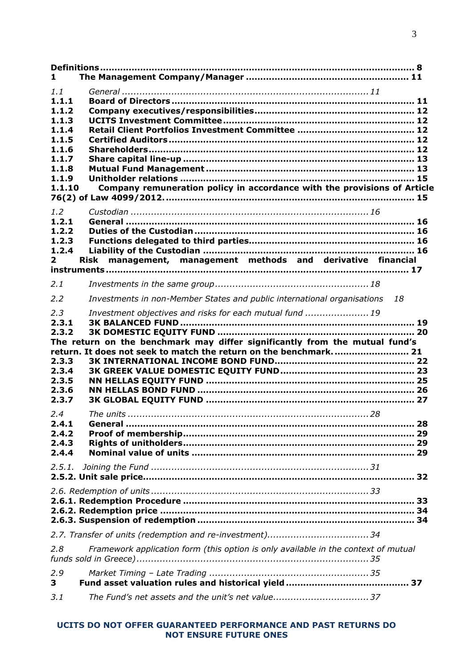| 1.                                                                                             |                                                                                                                                                                                                             |
|------------------------------------------------------------------------------------------------|-------------------------------------------------------------------------------------------------------------------------------------------------------------------------------------------------------------|
| 1.1<br>1.1.1<br>1.1.2<br>1.1.3<br>1.1.4<br>1.1.5<br>1.1.6<br>1.1.7<br>1.1.8<br>1.1.9<br>1.1.10 | Company remuneration policy in accordance with the provisions of Article                                                                                                                                    |
| 1.2<br>1.2.1<br>1.2.2<br>1.2.3<br>1.2.4<br>$\mathbf{2}$                                        | Risk management, management methods and derivative financial                                                                                                                                                |
| 2.1                                                                                            |                                                                                                                                                                                                             |
| 2.2                                                                                            | Investments in non-Member States and public international organisations<br>18                                                                                                                               |
| 2,3<br>2.3.1<br>2.3.2<br>2.3.3<br>2.3.4<br>2.3.5<br>2.3.6<br>2.3.7                             | Investment objectives and risks for each mutual fund  19<br>The return on the benchmark may differ significantly from the mutual fund's<br>return. It does not seek to match the return on the benchmark 21 |
| 2.4<br>2.4.1<br>2.4.2<br>2.4.3<br>2.4.4                                                        |                                                                                                                                                                                                             |
| 2.5.1.                                                                                         |                                                                                                                                                                                                             |
|                                                                                                |                                                                                                                                                                                                             |
|                                                                                                |                                                                                                                                                                                                             |
| 2,8                                                                                            | Framework application form (this option is only available in the context of mutual                                                                                                                          |
| 2.9<br>3                                                                                       |                                                                                                                                                                                                             |
| 3.1                                                                                            | The Fund's net assets and the unit's net value 37                                                                                                                                                           |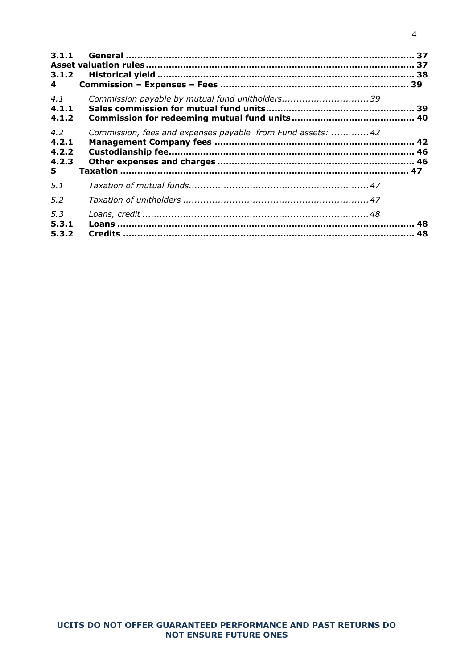| 3.1.1<br>3.1.2 |                                                             |  |
|----------------|-------------------------------------------------------------|--|
| 4              |                                                             |  |
| 4.1<br>4.1.1   |                                                             |  |
| 4.1.2          |                                                             |  |
| 4.2<br>4.2.1   | Commission, fees and expenses payable from Fund assets:  42 |  |
| 4.2.2          |                                                             |  |
| 4.2.3<br>5.    |                                                             |  |
| 5.1            |                                                             |  |
| 5.2            |                                                             |  |
| 5.3<br>5.3.1   |                                                             |  |
| 5.3.2          |                                                             |  |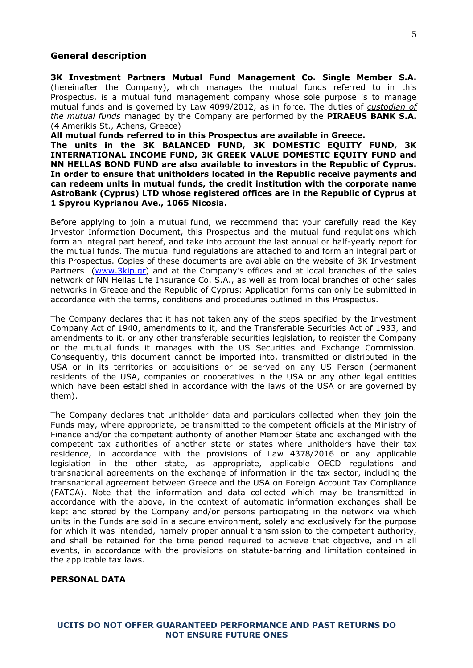#### **General description**

**3K Investment Partners Mutual Fund Management Co. Single Member S.A.**  (hereinafter the Company), which manages the mutual funds referred to in this Prospectus, is a mutual fund management company whose sole purpose is to manage mutual funds and is governed by Law 4099/2012, as in force. The duties of *custodian of the mutual funds* managed by the Company are performed by the **PIRAEUS BANK S.A.** (4 Amerikis St., Athens, Greece)

**All mutual funds referred to in this Prospectus are available in Greece.**

**The units in the 3K BALANCED FUND, 3K DOMESTIC EQUITY FUND, 3K INTERNATIONAL INCOME FUND, 3K GREEK VALUE DOMESTIC EQUITY FUND and NN HELLAS BOND FUND are also available to investors in the Republic of Cyprus. In order to ensure that unitholders located in the Republic receive payments and can redeem units in mutual funds, the credit institution with the corporate name AstroBank (Cyprus) LTD whose registered offices are in the Republic of Cyprus at 1 Spyrou Kyprianou Ave., 1065 Nicosia.**

Before applying to join a mutual fund, we recommend that your carefully read the Key Investor Information Document, this Prospectus and the mutual fund regulations which form an integral part hereof, and take into account the last annual or half-yearly report for the mutual funds. The mutual fund regulations are attached to and form an integral part of this Prospectus. Copies of these documents are available on the website of 3Κ Investment Partners [\(www.3kip.gr](http://www.3kip.gr/)) and at the Company's offices and at local branches of the sales network of NN Hellas Life Insurance Co. S.A., as well as from local branches of other sales networks in Greece and the Republic of Cyprus: Application forms can only be submitted in accordance with the terms, conditions and procedures outlined in this Prospectus.

The Company declares that it has not taken any of the steps specified by the Investment Company Act of 1940, amendments to it, and the Transferable Securities Act of 1933, and amendments to it, or any other transferable securities legislation, to register the Company or the mutual funds it manages with the US Securities and Exchange Commission. Consequently, this document cannot be imported into, transmitted or distributed in the USA or in its territories or acquisitions or be served on any US Person (permanent residents of the USA, companies or cooperatives in the USA or any other legal entities which have been established in accordance with the laws of the USA or are governed by them).

The Company declares that unitholder data and particulars collected when they join the Funds may, where appropriate, be transmitted to the competent officials at the Ministry of Finance and/or the competent authority of another Member State and exchanged with the competent tax authorities of another state or states where unitholders have their tax residence, in accordance with the provisions of Law 4378/2016 or any applicable legislation in the other state, as appropriate, applicable OECD regulations and transnational agreements on the exchange of information in the tax sector, including the transnational agreement between Greece and the USA on Foreign Account Tax Compliance (FATCA). Note that the information and data collected which may be transmitted in accordance with the above, in the context of automatic information exchanges shall be kept and stored by the Company and/or persons participating in the network via which units in the Funds are sold in a secure environment, solely and exclusively for the purpose for which it was intended, namely proper annual transmission to the competent authority, and shall be retained for the time period required to achieve that objective, and in all events, in accordance with the provisions on statute-barring and limitation contained in the applicable tax laws.

# **PERSONAL DATA**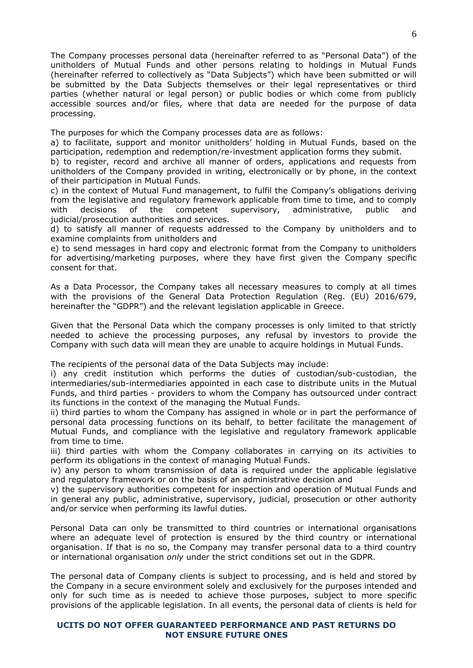The Company processes personal data (hereinafter referred to as "Personal Data") of the unitholders of Mutual Funds and other persons relating to holdings in Mutual Funds (hereinafter referred to collectively as "Data Subjects") which have been submitted or will be submitted by the Data Subjects themselves or their legal representatives or third parties (whether natural or legal person) or public bodies or which come from publicly accessible sources and/or files, where that data are needed for the purpose of data processing.

The purposes for which the Company processes data are as follows:

a) to facilitate, support and monitor unitholders' holding in Mutual Funds, based on the participation, redemption and redemption/re-investment application forms they submit.

b) to register, record and archive all manner of orders, applications and requests from unitholders of the Company provided in writing, electronically or by phone, in the context of their participation in Mutual Funds.

c) in the context of Mutual Fund management, to fulfil the Company's obligations deriving from the legislative and regulatory framework applicable from time to time, and to comply with decisions of the competent supervisory, administrative, public and judicial/prosecution authorities and services.

d) to satisfy all manner of requests addressed to the Company by unitholders and to examine complaints from unitholders and

e) to send messages in hard copy and electronic format from the Company to unitholders for advertising/marketing purposes, where they have first given the Company specific consent for that.

As a Data Processor, the Company takes all necessary measures to comply at all times with the provisions of the General Data Protection Regulation (Reg. (EU) 2016/679, hereinafter the "GDPR") and the relevant legislation applicable in Greece.

Given that the Personal Data which the company processes is only limited to that strictly needed to achieve the processing purposes, any refusal by investors to provide the Company with such data will mean they are unable to acquire holdings in Mutual Funds.

The recipients of the personal data of the Data Subjects may include:

i) any credit institution which performs the duties of custodian/sub-custodian, the intermediaries/sub-intermediaries appointed in each case to distribute units in the Mutual Funds, and third parties - providers to whom the Company has outsourced under contract its functions in the context of the managing the Mutual Funds.

ii) third parties to whom the Company has assigned in whole or in part the performance of personal data processing functions on its behalf, to better facilitate the management of Mutual Funds, and compliance with the legislative and regulatory framework applicable from time to time.

iii) third parties with whom the Company collaborates in carrying on its activities to perform its obligations in the context of managing Mutual Funds.

iv) any person to whom transmission of data is required under the applicable legislative and regulatory framework or on the basis of an administrative decision and

v) the supervisory authorities competent for inspection and operation of Mutual Funds and in general any public, administrative, supervisory, judicial, prosecution or other authority and/or service when performing its lawful duties.

Personal Data can only be transmitted to third countries or international organisations where an adequate level of protection is ensured by the third country or international organisation. If that is no so, the Company may transfer personal data to a third country or international organisation *only* under the strict conditions set out in the GDPR.

The personal data of Company clients is subject to processing, and is held and stored by the Company in a secure environment solely and exclusively for the purposes intended and only for such time as is needed to achieve those purposes, subject to more specific provisions of the applicable legislation. In all events, the personal data of clients is held for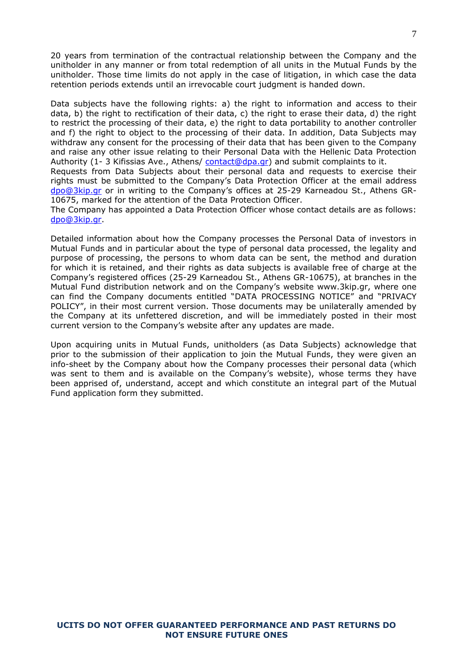20 years from termination of the contractual relationship between the Company and the unitholder in any manner or from total redemption of all units in the Mutual Funds by the unitholder. Those time limits do not apply in the case of litigation, in which case the data retention periods extends until an irrevocable court judgment is handed down.

Data subjects have the following rights: a) the right to information and access to their data, b) the right to rectification of their data, c) the right to erase their data, d) the right to restrict the processing of their data, e) the right to data portability to another controller and f) the right to object to the processing of their data. In addition, Data Subjects may withdraw any consent for the processing of their data that has been given to the Company and raise any other issue relating to their Personal Data with the Hellenic Data Protection Authority (1- 3 Kifissias Ave., Athens/ [contact@dpa.gr\)](mailto:contact@dpa.gr) and submit complaints to it.

Requests from Data Subjects about their personal data and requests to exercise their rights must be submitted to the Company's Data Protection Officer at the email address [dpo@3kip.gr](mailto:dpo@3kip.gr) or in writing to the Company's offices at 25-29 Karneadou St., Athens GR-10675, marked for the attention of the Data Protection Officer.

The Company has appointed a Data Protection Officer whose contact details are as follows: [dpo@3kip.gr.](mailto:dpo@3kip.gr)

Detailed information about how the Company processes the Personal Data of investors in Mutual Funds and in particular about the type of personal data processed, the legality and purpose of processing, the persons to whom data can be sent, the method and duration for which it is retained, and their rights as data subjects is available free of charge at the Company's registered offices (25-29 Karneadou St., Athens GR-10675), at branches in the Mutual Fund distribution network and on the Company's website www.3kip.gr, where one can find the Company documents entitled "DATA PROCESSING NOTICE" and "PRIVACY POLICY", in their most current version. Those documents may be unilaterally amended by the Company at its unfettered discretion, and will be immediately posted in their most current version to the Company's website after any updates are made.

Upon acquiring units in Mutual Funds, unitholders (as Data Subjects) acknowledge that prior to the submission of their application to join the Mutual Funds, they were given an info-sheet by the Company about how the Company processes their personal data (which was sent to them and is available on the Company's website), whose terms they have been apprised of, understand, accept and which constitute an integral part of the Mutual Fund application form they submitted.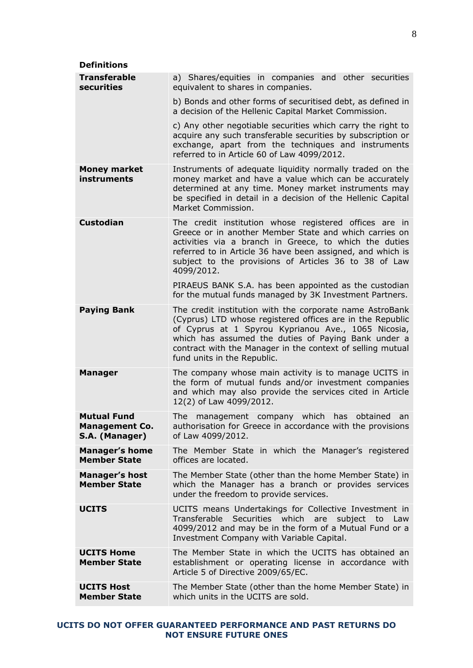<span id="page-7-0"></span>

| <b>Definitions</b>                                     |                                                                                                                                                                                                                                                                                                                                  |
|--------------------------------------------------------|----------------------------------------------------------------------------------------------------------------------------------------------------------------------------------------------------------------------------------------------------------------------------------------------------------------------------------|
| <b>Transferable</b><br>securities                      | a) Shares/equities in companies and other securities<br>equivalent to shares in companies.                                                                                                                                                                                                                                       |
|                                                        | b) Bonds and other forms of securitised debt, as defined in<br>a decision of the Hellenic Capital Market Commission.                                                                                                                                                                                                             |
|                                                        | c) Any other negotiable securities which carry the right to<br>acquire any such transferable securities by subscription or<br>exchange, apart from the techniques and instruments<br>referred to in Article 60 of Law 4099/2012.                                                                                                 |
| <b>Money market</b><br>instruments                     | Instruments of adequate liquidity normally traded on the<br>money market and have a value which can be accurately<br>determined at any time. Money market instruments may<br>be specified in detail in a decision of the Hellenic Capital<br>Market Commission.                                                                  |
| <b>Custodian</b>                                       | The credit institution whose registered offices are in<br>Greece or in another Member State and which carries on<br>activities via a branch in Greece, to which the duties<br>referred to in Article 36 have been assigned, and which is<br>subject to the provisions of Articles 36 to 38 of Law<br>4099/2012.                  |
|                                                        | PIRAEUS BANK S.A. has been appointed as the custodian<br>for the mutual funds managed by 3K Investment Partners.                                                                                                                                                                                                                 |
| <b>Paying Bank</b>                                     | The credit institution with the corporate name AstroBank<br>(Cyprus) LTD whose registered offices are in the Republic<br>of Cyprus at 1 Spyrou Kyprianou Ave., 1065 Nicosia,<br>which has assumed the duties of Paying Bank under a<br>contract with the Manager in the context of selling mutual<br>fund units in the Republic. |
| <b>Manager</b>                                         | The company whose main activity is to manage UCITS in<br>the form of mutual funds and/or investment companies<br>and which may also provide the services cited in Article<br>12(2) of Law 4099/2012.                                                                                                                             |
| Mutual Fund<br><b>Management Co.</b><br>S.A. (Manager) | The management company which has obtained an<br>authorisation for Greece in accordance with the provisions<br>of Law 4099/2012.                                                                                                                                                                                                  |
| <b>Manager's home</b><br><b>Member State</b>           | The Member State in which the Manager's registered<br>offices are located.                                                                                                                                                                                                                                                       |
| <b>Manager's host</b><br><b>Member State</b>           | The Member State (other than the home Member State) in<br>which the Manager has a branch or provides services<br>under the freedom to provide services.                                                                                                                                                                          |
| <b>UCITS</b>                                           | UCITS means Undertakings for Collective Investment in<br>Transferable Securities which are subject to Law<br>4099/2012 and may be in the form of a Mutual Fund or a<br>Investment Company with Variable Capital.                                                                                                                 |
| <b>UCITS Home</b><br><b>Member State</b>               | The Member State in which the UCITS has obtained an<br>establishment or operating license in accordance with<br>Article 5 of Directive 2009/65/EC.                                                                                                                                                                               |
| <b>UCITS Host</b><br><b>Member State</b>               | The Member State (other than the home Member State) in<br>which units in the UCITS are sold.                                                                                                                                                                                                                                     |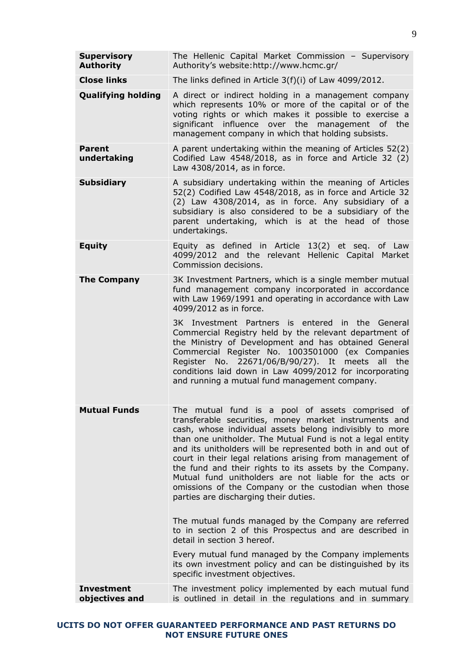| <b>Supervisory</b><br><b>Authority</b> | The Hellenic Capital Market Commission - Supervisory<br>Authority's website:http://www.hcmc.gr/                                                                                                                                                                                                                                                                                                                                                                                                                                                                                                                                                                                                                                                                                                                                                            |  |  |  |  |
|----------------------------------------|------------------------------------------------------------------------------------------------------------------------------------------------------------------------------------------------------------------------------------------------------------------------------------------------------------------------------------------------------------------------------------------------------------------------------------------------------------------------------------------------------------------------------------------------------------------------------------------------------------------------------------------------------------------------------------------------------------------------------------------------------------------------------------------------------------------------------------------------------------|--|--|--|--|
| <b>Close links</b>                     | The links defined in Article 3(f)(i) of Law 4099/2012.                                                                                                                                                                                                                                                                                                                                                                                                                                                                                                                                                                                                                                                                                                                                                                                                     |  |  |  |  |
| <b>Qualifying holding</b>              | A direct or indirect holding in a management company<br>which represents 10% or more of the capital or of the<br>voting rights or which makes it possible to exercise a<br>significant influence over the management of the<br>management company in which that holding subsists.                                                                                                                                                                                                                                                                                                                                                                                                                                                                                                                                                                          |  |  |  |  |
| <b>Parent</b><br>undertaking           | A parent undertaking within the meaning of Articles 52(2)<br>Codified Law 4548/2018, as in force and Article 32 (2)<br>Law 4308/2014, as in force.                                                                                                                                                                                                                                                                                                                                                                                                                                                                                                                                                                                                                                                                                                         |  |  |  |  |
| <b>Subsidiary</b>                      | A subsidiary undertaking within the meaning of Articles<br>52(2) Codified Law 4548/2018, as in force and Article 32<br>(2) Law 4308/2014, as in force. Any subsidiary of a<br>subsidiary is also considered to be a subsidiary of the<br>parent undertaking, which is at the head of those<br>undertakings.                                                                                                                                                                                                                                                                                                                                                                                                                                                                                                                                                |  |  |  |  |
| <b>Equity</b>                          | Equity as defined in Article 13(2) et seq. of Law<br>4099/2012 and the relevant Hellenic Capital Market<br>Commission decisions.                                                                                                                                                                                                                                                                                                                                                                                                                                                                                                                                                                                                                                                                                                                           |  |  |  |  |
| <b>The Company</b>                     | 3K Investment Partners, which is a single member mutual<br>fund management company incorporated in accordance<br>with Law 1969/1991 and operating in accordance with Law<br>4099/2012 as in force.<br>3K Investment Partners is entered in the General<br>Commercial Registry held by the relevant department of<br>the Ministry of Development and has obtained General<br>Commercial Register No. 1003501000 (ex Companies<br>Register No. 22671/06/B/90/27). It meets all the<br>conditions laid down in Law 4099/2012 for incorporating<br>and running a mutual fund management company.                                                                                                                                                                                                                                                               |  |  |  |  |
| <b>Mutual Funds</b>                    | The mutual fund is a pool of assets comprised of<br>transferable securities, money market instruments and<br>cash, whose individual assets belong indivisibly to more<br>than one unitholder. The Mutual Fund is not a legal entity<br>and its unitholders will be represented both in and out of<br>court in their legal relations arising from management of<br>the fund and their rights to its assets by the Company.<br>Mutual fund unitholders are not liable for the acts or<br>omissions of the Company or the custodian when those<br>parties are discharging their duties.<br>The mutual funds managed by the Company are referred<br>to in section 2 of this Prospectus and are described in<br>detail in section 3 hereof.<br>Every mutual fund managed by the Company implements<br>its own investment policy and can be distinguished by its |  |  |  |  |
|                                        | specific investment objectives.                                                                                                                                                                                                                                                                                                                                                                                                                                                                                                                                                                                                                                                                                                                                                                                                                            |  |  |  |  |
| <b>Investment</b><br>objectives and    | The investment policy implemented by each mutual fund<br>is outlined in detail in the regulations and in summary                                                                                                                                                                                                                                                                                                                                                                                                                                                                                                                                                                                                                                                                                                                                           |  |  |  |  |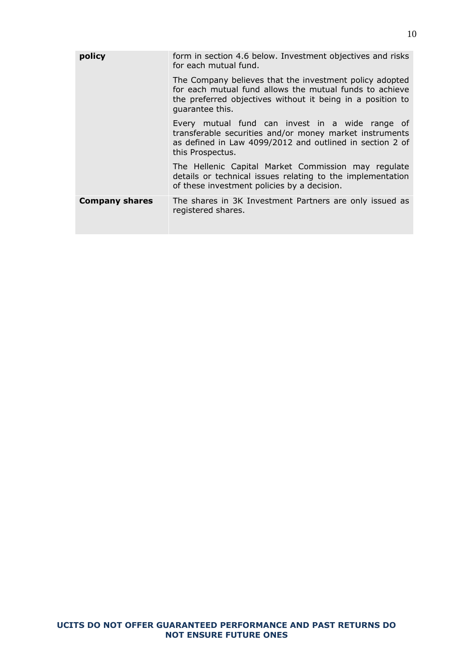| policy                | form in section 4.6 below. Investment objectives and risks<br>for each mutual fund.                                                                                                                 |
|-----------------------|-----------------------------------------------------------------------------------------------------------------------------------------------------------------------------------------------------|
|                       | The Company believes that the investment policy adopted<br>for each mutual fund allows the mutual funds to achieve<br>the preferred objectives without it being in a position to<br>quarantee this. |
|                       | Every mutual fund can invest in a wide range of<br>transferable securities and/or money market instruments<br>as defined in Law 4099/2012 and outlined in section 2 of<br>this Prospectus.          |
|                       | The Hellenic Capital Market Commission may regulate<br>details or technical issues relating to the implementation<br>of these investment policies by a decision.                                    |
| <b>Company shares</b> | The shares in 3K Investment Partners are only issued as<br>registered shares.                                                                                                                       |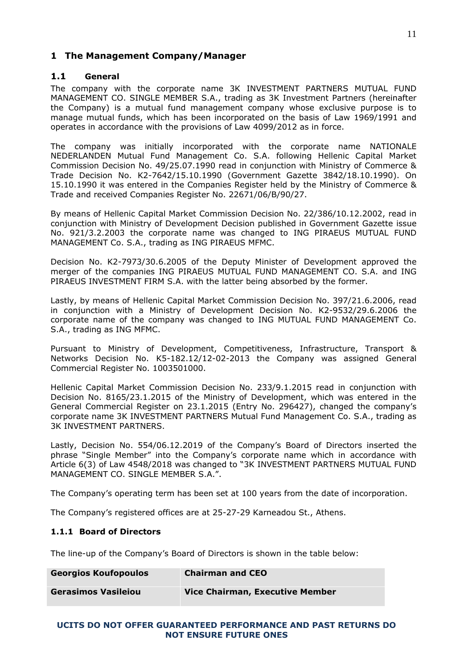# <span id="page-10-0"></span>**1 The Management Company/Manager**

# <span id="page-10-1"></span>**1.1 General**

The company with the corporate name 3Κ INVESTMENT PARTNERS MUTUAL FUND MANAGEMENT CO. SINGLE MEMBER S.A., trading as 3Κ Investment Partners (hereinafter the Company) is a mutual fund management company whose exclusive purpose is to manage mutual funds, which has been incorporated on the basis of Law 1969/1991 and operates in accordance with the provisions of Law 4099/2012 as in force.

The company was initially incorporated with the corporate name NATIONALE NEDERLANDEN Mutual Fund Management Co. S.A. following Hellenic Capital Market Commission Decision No. 49/25.07.1990 read in conjunction with Ministry of Commerce & Trade Decision No. Κ2-7642/15.10.1990 (Government Gazette 3842/18.10.1990). On 15.10.1990 it was entered in the Companies Register held by the Ministry of Commerce & Trade and received Companies Register No. 22671/06/Β/90/27.

By means of Hellenic Capital Market Commission Decision No. 22/386/10.12.2002, read in conjunction with Ministry of Development Decision published in Government Gazette issue No. 921/3.2.2003 the corporate name was changed to ING PIRAEUS MUTUAL FUND MANAGEMENT Co. S.A., trading as ING PIRAEUS MFMC.

Decision No. Κ2-7973/30.6.2005 of the Deputy Minister of Development approved the merger of the companies ING PIRAEUS MUTUAL FUND MANAGEMENT CO. S.A. and ING PIRAEUS INVESTMENT FIRM S.A. with the latter being absorbed by the former.

Lastly, by means of Hellenic Capital Market Commission Decision No. 397/21.6.2006, read in conjunction with a Ministry of Development Decision No. K2-9532/29.6.2006 the corporate name of the company was changed to ING MUTUAL FUND MANAGEMENT Co. S.A., trading as ING MFMC.

Pursuant to Ministry of Development, Competitiveness, Infrastructure, Transport & Networks Decision No. Κ5-182.12/12-02-2013 the Company was assigned General Commercial Register No. 1003501000.

Hellenic Capital Market Commission Decision No. 233/9.1.2015 read in conjunction with Decision No. 8165/23.1.2015 of the Ministry of Development, which was entered in the General Commercial Register on 23.1.2015 (Entry No. 296427), changed the company's corporate name 3K INVESTMENT PARTNERS Mutual Fund Management Co. S.A., trading as 3K INVESTMENT PARTNERS.

Lastly, Decision No. 554/06.12.2019 of the Company's Board of Directors inserted the phrase "Single Member" into the Company's corporate name which in accordance with Article 6(3) of Law 4548/2018 was changed to "3K INVESTMENT PARTNERS MUTUAL FUND MANAGEMENT CO. SINGLE MEMBER S.A.".

The Company's operating term has been set at 100 years from the date of incorporation.

<span id="page-10-2"></span>The Company's registered offices are at 25-27-29 Karneadou St., Athens.

# **1.1.1 Board of Directors**

The line-up of the Company's Board of Directors is shown in the table below:

| <b>Georgios Koufopoulos</b> | <b>Chairman and CEO</b>                |
|-----------------------------|----------------------------------------|
| <b>Gerasimos Vasileiou</b>  | <b>Vice Chairman, Executive Member</b> |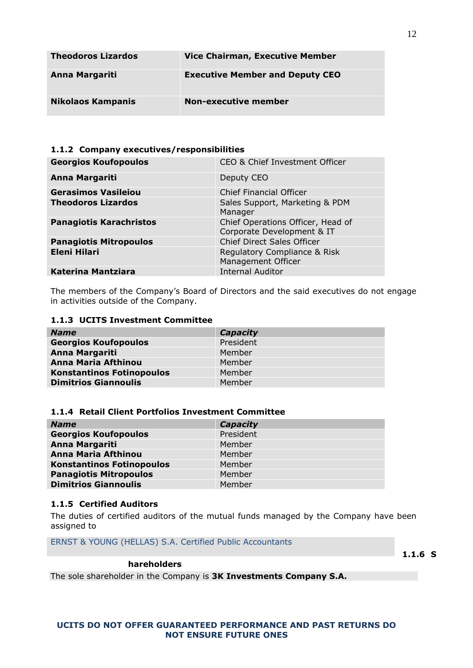| <b>Theodoros Lizardos</b> | <b>Vice Chairman, Executive Member</b> |
|---------------------------|----------------------------------------|
| Anna Margariti            | <b>Executive Member and Deputy CEO</b> |
| <b>Nikolaos Kampanis</b>  | Non-executive member                   |

# <span id="page-11-0"></span>**1.1.2 Company executives/responsibilities**

| <b>Georgios Koufopoulos</b>    | CEO & Chief Investment Officer                                  |
|--------------------------------|-----------------------------------------------------------------|
| <b>Anna Margariti</b>          | Deputy CEO                                                      |
| <b>Gerasimos Vasileiou</b>     | Chief Financial Officer                                         |
| <b>Theodoros Lizardos</b>      | Sales Support, Marketing & PDM<br>Manager                       |
| <b>Panagiotis Karachristos</b> | Chief Operations Officer, Head of<br>Corporate Development & IT |
| <b>Panagiotis Mitropoulos</b>  | Chief Direct Sales Officer                                      |
| <b>Eleni Hilari</b>            | Regulatory Compliance & Risk<br>Management Officer              |
| <b>Katerina Mantziara</b>      | <b>Internal Auditor</b>                                         |

The members of the Company's Board of Directors and the said executives do not engage in activities outside of the Company.

# <span id="page-11-1"></span>**1.1.3 UCITS Investment Committee**

| <b>Name</b>                      | Capacity  |
|----------------------------------|-----------|
| <b>Georgios Koufopoulos</b>      | President |
| <b>Anna Margariti</b>            | Member    |
| Anna Maria Afthinou              | Member    |
| <b>Konstantinos Fotinopoulos</b> | Member    |
| <b>Dimitrios Giannoulis</b>      | Member    |

#### <span id="page-11-2"></span>**1.1.4 Retail Client Portfolios Investment Committee**

| <b>Name</b>                      | Capacity  |
|----------------------------------|-----------|
| <b>Georgios Koufopoulos</b>      | President |
| <b>Anna Margariti</b>            | Member    |
| Anna Maria Afthinou              | Member    |
| <b>Konstantinos Fotinopoulos</b> | Member    |
| <b>Panagiotis Mitropoulos</b>    | Member    |
| <b>Dimitrios Giannoulis</b>      | Member    |

#### <span id="page-11-3"></span>**1.1.5 Certified Auditors**

The duties of certified auditors of the mutual funds managed by the Company have been assigned to

ERNST & YOUNG (HELLAS) S.A. Certified Public Accountants

<span id="page-11-4"></span>**1.1.6 S**

#### **hareholders**

The sole shareholder in the Company is **3K Investments Company S.A.**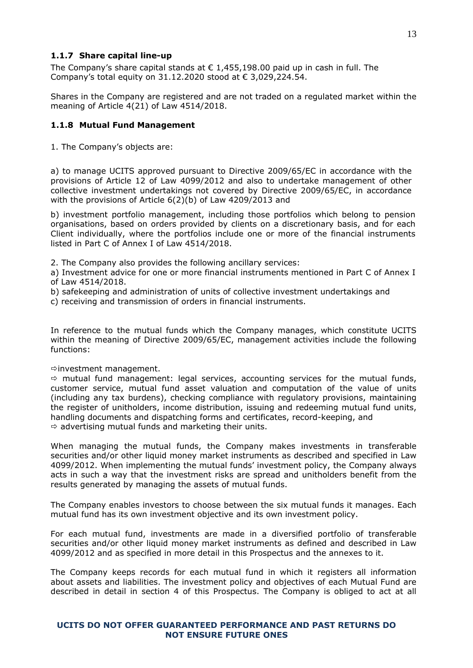# <span id="page-12-0"></span>**1.1.7 Share capital line-up**

The Company's share capital stands at  $\epsilon$  1,455,198,00 paid up in cash in full. The Company's total equity on 31.12.2020 stood at € 3,029,224.54.

Shares in the Company are registered and are not traded on a regulated market within the meaning of Article 4(21) of Law 4514/2018.

# <span id="page-12-1"></span>**1.1.8 Mutual Fund Management**

1. The Company's objects are:

a) to manage UCITS approved pursuant to Directive 2009/65/EC in accordance with the provisions of Article 12 of Law 4099/2012 and also to undertake management of other collective investment undertakings not covered by Directive 2009/65/EC, in accordance with the provisions of Article 6(2)(b) of Law 4209/2013 and

b) investment portfolio management, including those portfolios which belong to pension organisations, based on orders provided by clients on a discretionary basis, and for each Client individually, where the portfolios include one or more of the financial instruments listed in Part C of Annex I of Law 4514/2018.

2. The Company also provides the following ancillary services:

a) Investment advice for one or more financial instruments mentioned in Part C of Annex I of Law 4514/2018.

b) safekeeping and administration of units of collective investment undertakings and

c) receiving and transmission of orders in financial instruments.

In reference to the mutual funds which the Company manages, which constitute UCITS within the meaning of Directive 2009/65/EC, management activities include the following functions:

#### $\Rightarrow$  investment management.

 $\Rightarrow$  mutual fund management: legal services, accounting services for the mutual funds, customer service, mutual fund asset valuation and computation of the value of units (including any tax burdens), checking compliance with regulatory provisions, maintaining the register of unitholders, income distribution, issuing and redeeming mutual fund units, handling documents and dispatching forms and certificates, record-keeping, and  $\Rightarrow$  advertising mutual funds and marketing their units.

When managing the mutual funds, the Company makes investments in transferable securities and/or other liquid money market instruments as described and specified in Law 4099/2012. When implementing the mutual funds' investment policy, the Company always acts in such a way that the investment risks are spread and unitholders benefit from the results generated by managing the assets of mutual funds.

The Company enables investors to choose between the six mutual funds it manages. Each mutual fund has its own investment objective and its own investment policy.

For each mutual fund, investments are made in a diversified portfolio of transferable securities and/or other liquid money market instruments as defined and described in Law 4099/2012 and as specified in more detail in this Prospectus and the annexes to it.

The Company keeps records for each mutual fund in which it registers all information about assets and liabilities. The investment policy and objectives of each Mutual Fund are described in detail in section 4 of this Prospectus. The Company is obliged to act at all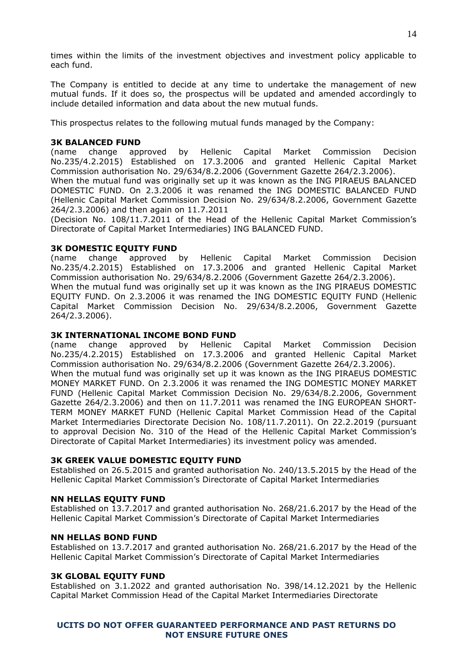times within the limits of the investment objectives and investment policy applicable to each fund.

The Company is entitled to decide at any time to undertake the management of new mutual funds. If it does so, the prospectus will be updated and amended accordingly to include detailed information and data about the new mutual funds.

This prospectus relates to the following mutual funds managed by the Company:

## **3K BALANCED FUND**

(name change approved by Hellenic Capital Market Commission Decision No.235/4.2.2015) Established on 17.3.2006 and granted Hellenic Capital Market Commission authorisation No. 29/634/8.2.2006 (Government Gazette 264/2.3.2006). When the mutual fund was originally set up it was known as the ING PIRAEUS BALANCED DOMESTIC FUND. On 2.3.2006 it was renamed the ING DOMESTIC BALANCED FUND (Hellenic Capital Market Commission Decision No. 29/634/8.2.2006, Government Gazette 264/2.3.2006) and then again on 11.7.2011

(Decision No. 108/11.7.2011 of the Head of the Hellenic Capital Market Commission's Directorate of Capital Market Intermediaries) ING BALANCED FUND.

#### **3K DOMESTIC EQUITY FUND**

(name change approved by Hellenic Capital Market Commission Decision No.235/4.2.2015) Established on 17.3.2006 and granted Hellenic Capital Market Commission authorisation No. 29/634/8.2.2006 (Government Gazette 264/2.3.2006). When the mutual fund was originally set up it was known as the ING PIRAEUS DOMESTIC EQUITY FUND. On 2.3.2006 it was renamed the ING DOMESTIC EQUITY FUND (Hellenic Capital Market Commission Decision No. 29/634/8.2.2006, Government Gazette 264/2.3.2006).

#### **3K INTERNATIONAL INCOME BOND FUND**

(name change approved by Hellenic Capital Market Commission Decision No.235/4.2.2015) Established on 17.3.2006 and granted Hellenic Capital Market Commission authorisation No. 29/634/8.2.2006 (Government Gazette 264/2.3.2006). When the mutual fund was originally set up it was known as the ING PIRAEUS DOMESTIC MONEY MARKET FUND. On 2.3.2006 it was renamed the ING DOMESTIC MONEY MARKET FUND (Hellenic Capital Market Commission Decision No. 29/634/8.2.2006, Government Gazette 264/2.3.2006) and then on 11.7.2011 was renamed the ING EUROPEAN SHORT-TERM MONEY MARKET FUND (Hellenic Capital Market Commission Head of the Capital Market Intermediaries Directorate Decision No. 108/11.7.2011). On 22.2.2019 (pursuant to approval Decision No. 310 of the Head of the Hellenic Capital Market Commission's Directorate of Capital Market Intermediaries) its investment policy was amended.

#### **3Κ GREEK VALUE DOMESTIC EQUITY FUND**

Established on 26.5.2015 and granted authorisation No. 240/13.5.2015 by the Head of the Hellenic Capital Market Commission's Directorate of Capital Market Intermediaries

#### **NN HELLAS EQUITY FUND**

Established on 13.7.2017 and granted authorisation No. 268/21.6.2017 by the Head of the Hellenic Capital Market Commission's Directorate of Capital Market Intermediaries

#### **NN HELLAS BOND FUND**

Established on 13.7.2017 and granted authorisation No. 268/21.6.2017 by the Head of the Hellenic Capital Market Commission's Directorate of Capital Market Intermediaries

#### **3Κ GLOBAL EQUITY FUND**

Established on 3.1.2022 and granted authorisation No. 398/14.12.2021 by the Hellenic Capital Market Commission Head of the Capital Market Intermediaries Directorate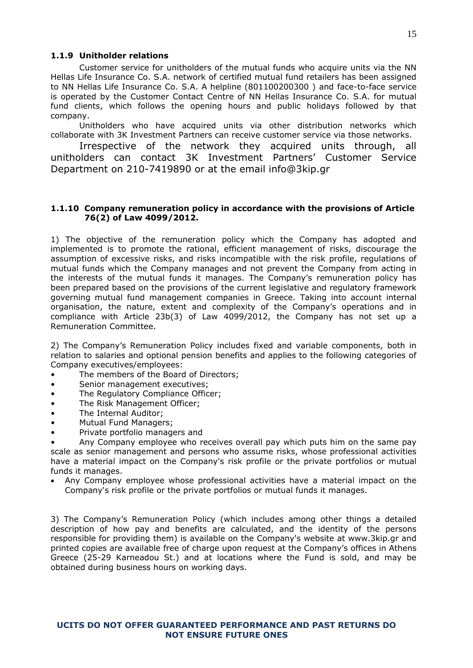# <span id="page-14-0"></span>**1.1.9 Unitholder relations**

Customer service for unitholders of the mutual funds who acquire units via the NN Hellas Life Insurance Co. S.A. network of certified mutual fund retailers has been assigned to NN Hellas Life Insurance Co. S.A. A helpline (801100200300 ) and face-to-face service is operated by the Customer Contact Centre of NN Hellas Insurance Co. S.A. for mutual fund clients, which follows the opening hours and public holidays followed by that company.

Unitholders who have acquired units via other distribution networks which collaborate with 3K Investment Partners can receive customer service via those networks.

Irrespective of the network they acquired units through, all unitholders can contact 3Κ Investment Partners' Customer Service Department on 210-7419890 or at the email [info@3kip.gr](mailto:info@3kip.gr)

# <span id="page-14-1"></span>**1.1.10 Company remuneration policy in accordance with the provisions of Article 76(2) of Law 4099/2012.**

1) The objective of the remuneration policy which the Company has adopted and implemented is to promote the rational, efficient management of risks, discourage the assumption of excessive risks, and risks incompatible with the risk profile, regulations of mutual funds which the Company manages and not prevent the Company from acting in the interests of the mutual funds it manages. The Company's remuneration policy has been prepared based on the provisions of the current legislative and regulatory framework governing mutual fund management companies in Greece. Taking into account internal organisation, the nature, extent and complexity of the Company's operations and in compliance with Article 23b(3) of Law 4099/2012, the Company has not set up a Remuneration Committee.

2) The Company's Remuneration Policy includes fixed and variable components, both in relation to salaries and optional pension benefits and applies to the following categories of Company executives/employees:

- The members of the Board of Directors;
- Senior management executives;
- The Regulatory Compliance Officer;
- The Risk Management Officer;
- The Internal Auditor:
- Mutual Fund Managers;
- Private portfolio managers and

• Any Company employee who receives overall pay which puts him on the same pay scale as senior management and persons who assume risks, whose professional activities have a material impact on the Company's risk profile or the private portfolios or mutual funds it manages.

 Any Company employee whose professional activities have a material impact on the Company's risk profile or the private portfolios or mutual funds it manages.

3) The Company's Remuneration Policy (which includes among other things a detailed description of how pay and benefits are calculated, and the identity of the persons responsible for providing them) is available on the Company's website at www.3kip.gr and printed copies are available free of charge upon request at the Company's offices in Athens Greece (25-29 Karneadou St.) and at locations where the Fund is sold, and may be obtained during business hours on working days.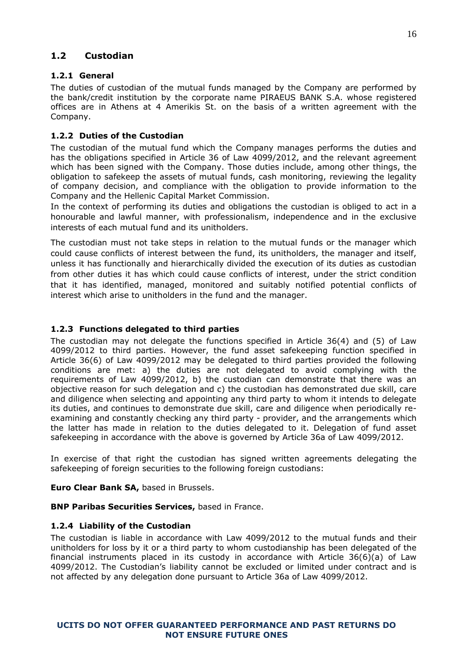# <span id="page-15-0"></span>**1.2 Custodian**

# <span id="page-15-1"></span>**1.2.1 General**

The duties of custodian of the mutual funds managed by the Company are performed by the bank/credit institution by the corporate name PIRAEUS BANK S.A. whose registered offices are in Athens at 4 Amerikis St. on the basis of a written agreement with the Company.

# <span id="page-15-2"></span>**1.2.2 Duties of the Custodian**

The custodian of the mutual fund which the Company manages performs the duties and has the obligations specified in Article 36 of Law 4099/2012, and the relevant agreement which has been signed with the Company. Those duties include, among other things, the obligation to safekeep the assets of mutual funds, cash monitoring, reviewing the legality of company decision, and compliance with the obligation to provide information to the Company and the Hellenic Capital Market Commission.

In the context of performing its duties and obligations the custodian is obliged to act in a honourable and lawful manner, with professionalism, independence and in the exclusive interests of each mutual fund and its unitholders.

The custodian must not take steps in relation to the mutual funds or the manager which could cause conflicts of interest between the fund, its unitholders, the manager and itself, unless it has functionally and hierarchically divided the execution of its duties as custodian from other duties it has which could cause conflicts of interest, under the strict condition that it has identified, managed, monitored and suitably notified potential conflicts of interest which arise to unitholders in the fund and the manager.

# <span id="page-15-3"></span>**1.2.3 Functions delegated to third parties**

The custodian may not delegate the functions specified in Article 36(4) and (5) of Law 4099/2012 to third parties. However, the fund asset safekeeping function specified in Article 36(6) of Law 4099/2012 may be delegated to third parties provided the following conditions are met: a) the duties are not delegated to avoid complying with the requirements of Law 4099/2012, b) the custodian can demonstrate that there was an objective reason for such delegation and c) the custodian has demonstrated due skill, care and diligence when selecting and appointing any third party to whom it intends to delegate its duties, and continues to demonstrate due skill, care and diligence when periodically reexamining and constantly checking any third party - provider, and the arrangements which the latter has made in relation to the duties delegated to it. Delegation of fund asset safekeeping in accordance with the above is governed by Article 36a of Law 4099/2012.

In exercise of that right the custodian has signed written agreements delegating the safekeeping of foreign securities to the following foreign custodians:

**Euro Clear Bank SA,** based in Brussels.

<span id="page-15-4"></span>**BNP Paribas Securities Services,** based in France.

# **1.2.4 Liability of the Custodian**

The custodian is liable in accordance with Law 4099/2012 to the mutual funds and their unitholders for loss by it or a third party to whom custodianship has been delegated of the financial instruments placed in its custody in accordance with Article 36(6)(a) of Law 4099/2012. The Custodian's liability cannot be excluded or limited under contract and is not affected by any delegation done pursuant to Article 36a of Law 4099/2012.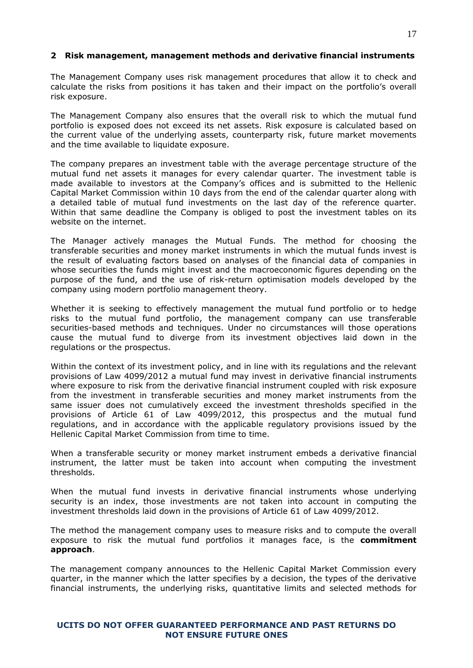# <span id="page-16-0"></span>**2 Risk management, management methods and derivative financial instruments**

The Management Company uses risk management procedures that allow it to check and calculate the risks from positions it has taken and their impact on the portfolio's overall risk exposure.

The Management Company also ensures that the overall risk to which the mutual fund portfolio is exposed does not exceed its net assets. Risk exposure is calculated based on the current value of the underlying assets, counterparty risk, future market movements and the time available to liquidate exposure.

The company prepares an investment table with the average percentage structure of the mutual fund net assets it manages for every calendar quarter. The investment table is made available to investors at the Company's offices and is submitted to the Hellenic Capital Market Commission within 10 days from the end of the calendar quarter along with a detailed table of mutual fund investments on the last day of the reference quarter. Within that same deadline the Company is obliged to post the investment tables on its website on the internet.

The Manager actively manages the Mutual Funds. The method for choosing the transferable securities and money market instruments in which the mutual funds invest is the result of evaluating factors based on analyses of the financial data of companies in whose securities the funds might invest and the macroeconomic figures depending on the purpose of the fund, and the use of risk-return optimisation models developed by the company using modern portfolio management theory.

Whether it is seeking to effectively management the mutual fund portfolio or to hedge risks to the mutual fund portfolio, the management company can use transferable securities-based methods and techniques. Under no circumstances will those operations cause the mutual fund to diverge from its investment objectives laid down in the regulations or the prospectus.

Within the context of its investment policy, and in line with its regulations and the relevant provisions of Law 4099/2012 a mutual fund may invest in derivative financial instruments where exposure to risk from the derivative financial instrument coupled with risk exposure from the investment in transferable securities and money market instruments from the same issuer does not cumulatively exceed the investment thresholds specified in the provisions of Article 61 of Law 4099/2012, this prospectus and the mutual fund regulations, and in accordance with the applicable regulatory provisions issued by the Hellenic Capital Market Commission from time to time.

When a transferable security or money market instrument embeds a derivative financial instrument, the latter must be taken into account when computing the investment thresholds.

When the mutual fund invests in derivative financial instruments whose underlying security is an index, those investments are not taken into account in computing the investment thresholds laid down in the provisions of Article 61 of Law 4099/2012.

The method the management company uses to measure risks and to compute the overall exposure to risk the mutual fund portfolios it manages face, is the **commitment approach**.

The management company announces to the Hellenic Capital Market Commission every quarter, in the manner which the latter specifies by a decision, the types of the derivative financial instruments, the underlying risks, quantitative limits and selected methods for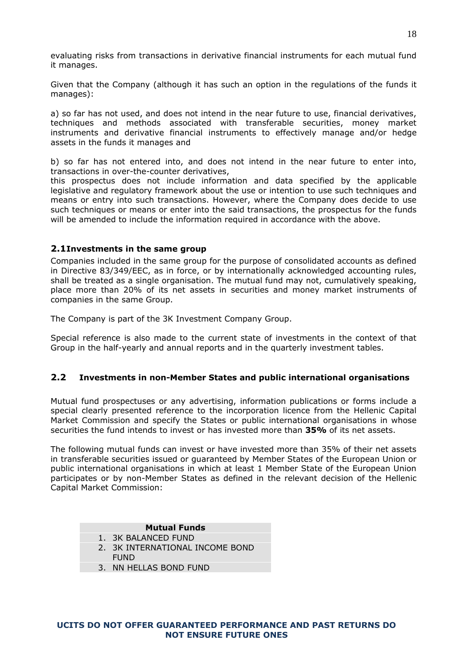evaluating risks from transactions in derivative financial instruments for each mutual fund it manages.

Given that the Company (although it has such an option in the regulations of the funds it manages):

a) so far has not used, and does not intend in the near future to use, financial derivatives, techniques and methods associated with transferable securities, money market instruments and derivative financial instruments to effectively manage and/or hedge assets in the funds it manages and

b) so far has not entered into, and does not intend in the near future to enter into, transactions in over-the-counter derivatives,

this prospectus does not include information and data specified by the applicable legislative and regulatory framework about the use or intention to use such techniques and means or entry into such transactions. However, where the Company does decide to use such techniques or means or enter into the said transactions, the prospectus for the funds will be amended to include the information required in accordance with the above.

# <span id="page-17-0"></span>**2.1Investments in the same group**

Companies included in the same group for the purpose of consolidated accounts as defined in Directive 83/349/EEC, as in force, or by internationally acknowledged accounting rules, shall be treated as a single organisation. The mutual fund may not, cumulatively speaking, place more than 20% of its net assets in securities and money market instruments of companies in the same Group.

The Company is part of the 3K Investment Company Group.

Special reference is also made to the current state of investments in the context of that Group in the half-yearly and annual reports and in the quarterly investment tables.

# <span id="page-17-1"></span>**2.2 Investments in non-Member States and public international organisations**

Mutual fund prospectuses or any advertising, information publications or forms include a special clearly presented reference to the incorporation licence from the Hellenic Capital Market Commission and specify the States or public international organisations in whose securities the fund intends to invest or has invested more than **35%** of its net assets.

The following mutual funds can invest or have invested more than 35% of their net assets in transferable securities issued or guaranteed by Member States of the European Union or public international organisations in which at least 1 Member State of the European Union participates or by non-Member States as defined in the relevant decision of the Hellenic Capital Market Commission:

#### **Mutual Funds**

- 1. 3K BALANCED FUND
- 2. 3K INTERNATIONAL INCOME BOND
- FUND
- 3. NN HELLAS BOND FUND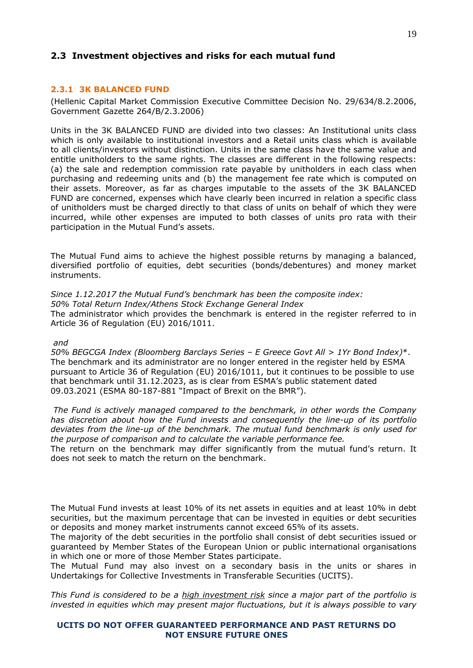# <span id="page-18-0"></span>**2.3 Investment objectives and risks for each mutual fund**

## <span id="page-18-1"></span>**2.3.1 3K BALANCED FUND**

(Hellenic Capital Market Commission Executive Committee Decision No. 29/634/8.2.2006, Government Gazette 264/B/2.3.2006)

Units in the 3K BALANCED FUND are divided into two classes: An Institutional units class which is only available to institutional investors and a Retail units class which is available to all clients/investors without distinction. Units in the same class have the same value and entitle unitholders to the same rights. The classes are different in the following respects: (a) the sale and redemption commission rate payable by unitholders in each class when purchasing and redeeming units and (b) the management fee rate which is computed on their assets. Moreover, as far as charges imputable to the assets of the 3K BALANCED FUND are concerned, expenses which have clearly been incurred in relation a specific class of unitholders must be charged directly to that class of units on behalf of which they were incurred, while other expenses are imputed to both classes of units pro rata with their participation in the Mutual Fund's assets.

The Mutual Fund aims to achieve the highest possible returns by managing a balanced, diversified portfolio of equities, debt securities (bonds/debentures) and money market instruments.

# *Since 1.12.2017 the Mutual Fund's benchmark has been the composite index:*

*50% Total Return Index/Athens Stock Exchange General Index*  The administrator which provides the benchmark is entered in the register referred to in Article 36 of Regulation (EU) 2016/1011.

#### *and*

*50% BEGCGA Index (Bloomberg Barclays Series – E Greece Govt All > 1Yr Bond Index)*\*. The benchmark and its administrator are no longer entered in the register held by ESMA pursuant to Article 36 of Regulation (EU) 2016/1011, but it continues to be possible to use that benchmark until 31.12.2023, as is clear from ESMA's public statement dated 09.03.2021 (ESMA 80-187-881 "Impact of Brexit on the BMR").

*The Fund is actively managed compared to the benchmark, in other words the Company has discretion about how the Fund invests and consequently the line-up of its portfolio deviates from the line-up of the benchmark. The mutual fund benchmark is only used for the purpose of comparison and to calculate the variable performance fee.*

The return on the benchmark may differ significantly from the mutual fund's return. It does not seek to match the return on the benchmark.

The Mutual Fund invests at least 10% of its net assets in equities and at least 10% in debt securities, but the maximum percentage that can be invested in equities or debt securities or deposits and money market instruments cannot exceed 65% of its assets.

The majority of the debt securities in the portfolio shall consist of debt securities issued or guaranteed by Member States of the European Union or public international organisations in which one or more of those Member States participate.

The Mutual Fund may also invest on a secondary basis in the units or shares in Undertakings for Collective Investments in Transferable Securities (UCITS).

*This Fund is considered to be a high investment risk since a major part of the portfolio is invested in equities which may present major fluctuations, but it is always possible to vary*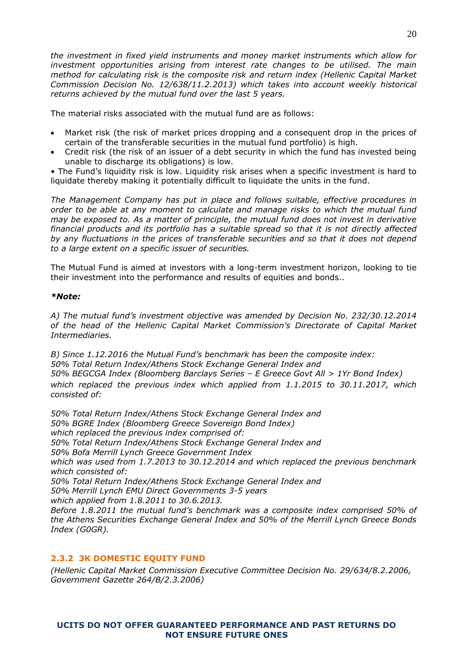*the investment in fixed yield instruments and money market instruments which allow for investment opportunities arising from interest rate changes to be utilised. The main method for calculating risk is the composite risk and return index (Hellenic Capital Market Commission Decision No. 12/638/11.2.2013) which takes into account weekly historical returns achieved by the mutual fund over the last 5 years.*

The material risks associated with the mutual fund are as follows:

- Market risk (the risk of market prices dropping and a consequent drop in the prices of certain of the transferable securities in the mutual fund portfolio) is high.
- Credit risk (the risk of an issuer of a debt security in which the fund has invested being unable to discharge its obligations) is low.

• The Fund's liquidity risk is low. Liquidity risk arises when a specific investment is hard to liquidate thereby making it potentially difficult to liquidate the units in the fund.

*The Management Company has put in place and follows suitable, effective procedures in order to be able at any moment to calculate and manage risks to which the mutual fund may be exposed to. As a matter of principle, the mutual fund does not invest in derivative financial products and its portfolio has a suitable spread so that it is not directly affected by any fluctuations in the prices of transferable securities and so that it does not depend to a large extent on a specific issuer of securities.*

The Mutual Fund is aimed at investors with a long-term investment horizon, looking to tie their investment into the performance and results of equities and bonds..

# *\*Note:*

*A) The mutual fund's investment objective was amended by Decision No. 232/30.12.2014 of the head of the Hellenic Capital Market Commission's Directorate of Capital Market Intermediaries.*

*B) Since 1.12.2016 the Mutual Fund's benchmark has been the composite index: 50% Total Return Index/Athens Stock Exchange General Index and 50% BEGCGA Index (Bloomberg Barclays Series – E Greece Govt All > 1Yr Bond Index) which replaced the previous index which applied from 1.1.2015 to 30.11.2017, which consisted of:*

*50% Total Return Index/Athens Stock Exchange General Index and 50% BGRE Index (Bloomberg Greece Sovereign Bond Index) which replaced the previous index comprised of: 50% Total Return Index/Athens Stock Exchange General Index and 50% Bofa Merrill Lynch Greece Government Index which was used from 1.7.2013 to 30.12.2014 and which replaced the previous benchmark which consisted of: 50% Total Return Index/Athens Stock Exchange General Index and 50% Merrill Lynch EMU Direct Governments 3-5 years which applied from 1.8.2011 to 30.6.2013. Before 1.8.2011 the mutual fund's benchmark was a composite index comprised 50% of the Athens Securities Exchange General Index and 50% of the Merrill Lynch Greece Bonds Index (G0GR).*

# <span id="page-19-0"></span>**2.3.2 3K DOMESTIC EQUITY FUND**

*(Hellenic Capital Market Commission Executive Committee Decision No. 29/634/8.2.2006, Government Gazette 264/B/2.3.2006)*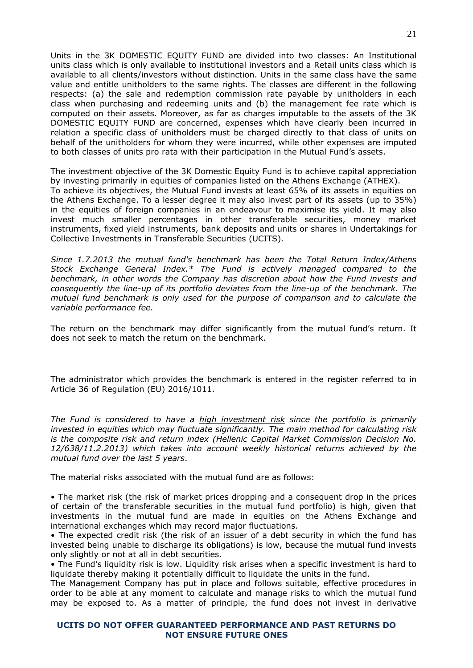Units in the 3K DOMESTIC EQUITY FUND are divided into two classes: An Institutional units class which is only available to institutional investors and a Retail units class which is available to all clients/investors without distinction. Units in the same class have the same value and entitle unitholders to the same rights. The classes are different in the following respects: (a) the sale and redemption commission rate payable by unitholders in each class when purchasing and redeeming units and (b) the management fee rate which is computed on their assets. Moreover, as far as charges imputable to the assets of the 3K DOMESTIC EQUITY FUND are concerned, expenses which have clearly been incurred in relation a specific class of unitholders must be charged directly to that class of units on behalf of the unitholders for whom they were incurred, while other expenses are imputed to both classes of units pro rata with their participation in the Mutual Fund's assets.

The investment objective of the 3K Domestic Equity Fund is to achieve capital appreciation by investing primarily in equities of companies listed on the Athens Exchange (ATHEX). To achieve its objectives, the Mutual Fund invests at least 65% of its assets in equities on the Athens Exchange. To a lesser degree it may also invest part of its assets (up to 35%) in the equities of foreign companies in an endeavour to maximise its yield. It may also invest much smaller percentages in other transferable securities, money market instruments, fixed yield instruments, bank deposits and units or shares in Undertakings for Collective Investments in Transferable Securities (UCITS).

*Since 1.7.2013 the mutual fund's benchmark has been the Total Return Index/Athens Stock Exchange General Index.\* The Fund is actively managed compared to the benchmark, in other words the Company has discretion about how the Fund invests and consequently the line-up of its portfolio deviates from the line-up of the benchmark. The mutual fund benchmark is only used for the purpose of comparison and to calculate the variable performance fee.*

<span id="page-20-0"></span>The return on the benchmark may differ significantly from the mutual fund's return. It does not seek to match the return on the benchmark.

The administrator which provides the benchmark is entered in the register referred to in Article 36 of Regulation (EU) 2016/1011.

*The Fund is considered to have a high investment risk since the portfolio is primarily invested in equities which may fluctuate significantly. The main method for calculating risk is the composite risk and return index (Hellenic Capital Market Commission Decision No. 12/638/11.2.2013) which takes into account weekly historical returns achieved by the mutual fund over the last 5 years*.

The material risks associated with the mutual fund are as follows:

• The market risk (the risk of market prices dropping and a consequent drop in the prices of certain of the transferable securities in the mutual fund portfolio) is high, given that investments in the mutual fund are made in equities on the Athens Exchange and international exchanges which may record major fluctuations.

• The expected credit risk (the risk of an issuer of a debt security in which the fund has invested being unable to discharge its obligations) is low, because the mutual fund invests only slightly or not at all in debt securities.

• The Fund's liquidity risk is low. Liquidity risk arises when a specific investment is hard to liquidate thereby making it potentially difficult to liquidate the units in the fund.

The Management Company has put in place and follows suitable, effective procedures in order to be able at any moment to calculate and manage risks to which the mutual fund may be exposed to. As a matter of principle, the fund does not invest in derivative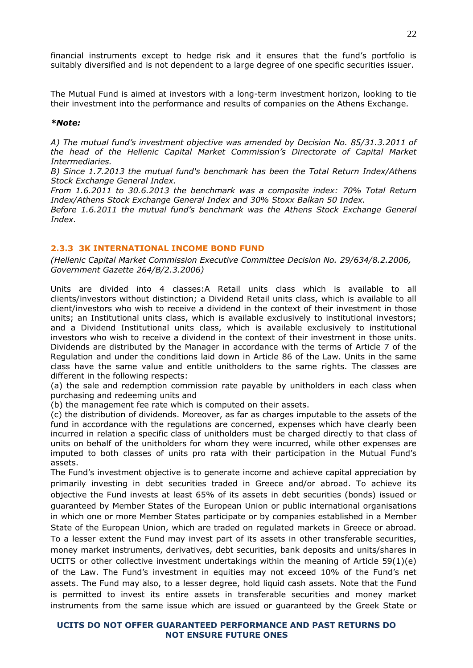financial instruments except to hedge risk and it ensures that the fund's portfolio is suitably diversified and is not dependent to a large degree of one specific securities issuer.

The Mutual Fund is aimed at investors with a long-term investment horizon, looking to tie their investment into the performance and results of companies on the Athens Exchange.

#### *\*Note:*

*A) The mutual fund's investment objective was amended by Decision No. 85/31.3.2011 of the head of the Hellenic Capital Market Commission's Directorate of Capital Market Intermediaries.*

*B) Since 1.7.2013 the mutual fund's benchmark has been the Total Return Index/Athens Stock Exchange General Index.* 

*From 1.6.2011 to 30.6.2013 the benchmark was a composite index: 70% Total Return Index/Athens Stock Exchange General Index and 30% Stoxx Balkan 50 Index.* 

*Before 1.6.2011 the mutual fund's benchmark was the Athens Stock Exchange General Index.* 

# <span id="page-21-0"></span>**2.3.3 3K INTERNATIONAL INCOME BOND FUND**

*(Hellenic Capital Market Commission Executive Committee Decision No. 29/634/8.2.2006, Government Gazette 264/B/2.3.2006)*

Units are divided into 4 classes:A Retail units class which is available to all clients/investors without distinction; a Dividend Retail units class, which is available to all client/investors who wish to receive a dividend in the context of their investment in those units; an Institutional units class, which is available exclusively to institutional investors; and a Dividend Institutional units class, which is available exclusively to institutional investors who wish to receive a dividend in the context of their investment in those units. Dividends are distributed by the Manager in accordance with the terms of Article 7 of the Regulation and under the conditions laid down in Article 86 of the Law. Units in the same class have the same value and entitle unitholders to the same rights. The classes are different in the following respects:

(a) the sale and redemption commission rate payable by unitholders in each class when purchasing and redeeming units and

(b) the management fee rate which is computed on their assets.

(c) the distribution of dividends. Moreover, as far as charges imputable to the assets of the fund in accordance with the regulations are concerned, expenses which have clearly been incurred in relation a specific class of unitholders must be charged directly to that class of units on behalf of the unitholders for whom they were incurred, while other expenses are imputed to both classes of units pro rata with their participation in the Mutual Fund's assets.

The Fund's investment objective is to generate income and achieve capital appreciation by primarily investing in debt securities traded in Greece and/or abroad. To achieve its objective the Fund invests at least 65% of its assets in debt securities (bonds) issued or guaranteed by Member States of the European Union or public international organisations in which one or more Member States participate or by companies established in a Member State of the European Union, which are traded on regulated markets in Greece or abroad. To a lesser extent the Fund may invest part of its assets in other transferable securities, money market instruments, derivatives, debt securities, bank deposits and units/shares in UCITS or other collective investment undertakings within the meaning of Article 59(1)(e) of the Law. The Fund's investment in equities may not exceed 10% of the Fund's net assets. The Fund may also, to a lesser degree, hold liquid cash assets. Note that the Fund is permitted to invest its entire assets in transferable securities and money market instruments from the same issue which are issued or guaranteed by the Greek State or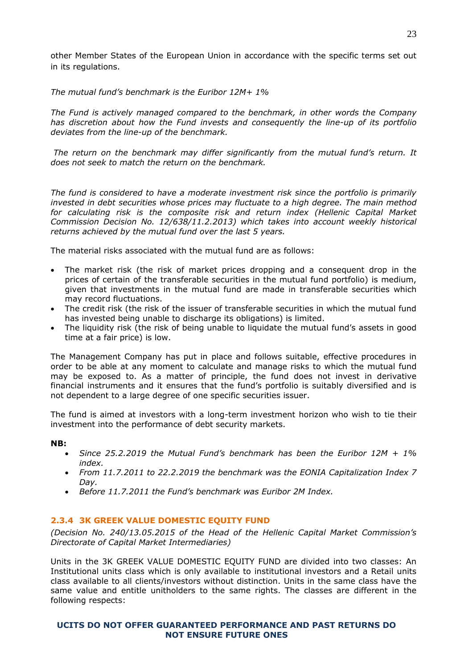other Member States of the European Union in accordance with the specific terms set out in its regulations.

*The mutual fund's benchmark is the Euribor 12M+ 1%*

*The Fund is actively managed compared to the benchmark, in other words the Company has discretion about how the Fund invests and consequently the line-up of its portfolio deviates from the line-up of the benchmark.*

*The return on the benchmark may differ significantly from the mutual fund's return. It does not seek to match the return on the benchmark.*

*The fund is considered to have a moderate investment risk since the portfolio is primarily invested in debt securities whose prices may fluctuate to a high degree. The main method*  for calculating risk is the composite risk and return index (Hellenic Capital Market *Commission Decision No. 12/638/11.2.2013) which takes into account weekly historical returns achieved by the mutual fund over the last 5 years.*

The material risks associated with the mutual fund are as follows:

- The market risk (the risk of market prices dropping and a consequent drop in the prices of certain of the transferable securities in the mutual fund portfolio) is medium, given that investments in the mutual fund are made in transferable securities which may record fluctuations.
- The credit risk (the risk of the issuer of transferable securities in which the mutual fund has invested being unable to discharge its obligations) is limited.
- The liquidity risk (the risk of being unable to liquidate the mutual fund's assets in good time at a fair price) is low.

The Management Company has put in place and follows suitable, effective procedures in order to be able at any moment to calculate and manage risks to which the mutual fund may be exposed to. As a matter of principle, the fund does not invest in derivative financial instruments and it ensures that the fund's portfolio is suitably diversified and is not dependent to a large degree of one specific securities issuer.

The fund is aimed at investors with a long-term investment horizon who wish to tie their investment into the performance of debt security markets.

# **NB:**

- *Since 25.2.2019 the Mutual Fund's benchmark has been the Euribor 12M + 1% index.*
- *From 11.7.2011 to 22.2.2019 the benchmark was the EONIA Capitalization Index 7 Day.*
- *Before 11.7.2011 the Fund's benchmark was Euribor 2M Index.*

# <span id="page-22-0"></span>**2.3.4 3K GREEK VALUE DOMESTIC EQUITY FUND**

*(Decision No. 240/13.05.2015 of the Head of the Hellenic Capital Market Commission's Directorate of Capital Market Intermediaries)* 

Units in the 3K GREEK VALUE DOMESTIC EQUITY FUND are divided into two classes: An Institutional units class which is only available to institutional investors and a Retail units class available to all clients/investors without distinction. Units in the same class have the same value and entitle unitholders to the same rights. The classes are different in the following respects: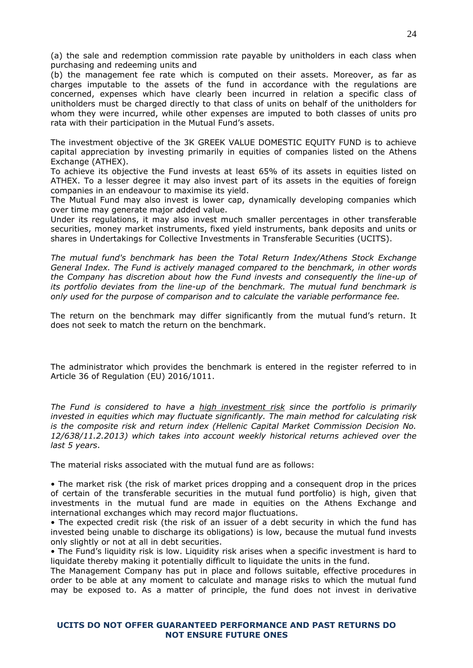(a) the sale and redemption commission rate payable by unitholders in each class when purchasing and redeeming units and

(b) the management fee rate which is computed on their assets. Moreover, as far as charges imputable to the assets of the fund in accordance with the regulations are concerned, expenses which have clearly been incurred in relation a specific class of unitholders must be charged directly to that class of units on behalf of the unitholders for whom they were incurred, while other expenses are imputed to both classes of units pro rata with their participation in the Mutual Fund's assets.

The investment objective of the 3K GREEK VALUE DOMESTIC EQUITY FUND is to achieve capital appreciation by investing primarily in equities of companies listed on the Athens Exchange (ATHEX).

To achieve its objective the Fund invests at least 65% of its assets in equities listed on ATHEX. To a lesser degree it may also invest part of its assets in the equities of foreign companies in an endeavour to maximise its yield.

The Mutual Fund may also invest is lower cap, dynamically developing companies which over time may generate major added value.

Under its regulations, it may also invest much smaller percentages in other transferable securities, money market instruments, fixed yield instruments, bank deposits and units or shares in Undertakings for Collective Investments in Transferable Securities (UCITS).

*The mutual fund's benchmark has been the Total Return Index/Athens Stock Exchange General Index. The Fund is actively managed compared to the benchmark, in other words the Company has discretion about how the Fund invests and consequently the line-up of its portfolio deviates from the line-up of the benchmark. The mutual fund benchmark is only used for the purpose of comparison and to calculate the variable performance fee.* 

The return on the benchmark may differ significantly from the mutual fund's return. It does not seek to match the return on the benchmark.

The administrator which provides the benchmark is entered in the register referred to in Article 36 of Regulation (EU) 2016/1011.

*The Fund is considered to have a high investment risk since the portfolio is primarily invested in equities which may fluctuate significantly. The main method for calculating risk is the composite risk and return index (Hellenic Capital Market Commission Decision No. 12/638/11.2.2013) which takes into account weekly historical returns achieved over the last 5 years*.

The material risks associated with the mutual fund are as follows:

• The market risk (the risk of market prices dropping and a consequent drop in the prices of certain of the transferable securities in the mutual fund portfolio) is high, given that investments in the mutual fund are made in equities on the Athens Exchange and international exchanges which may record major fluctuations.

• The expected credit risk (the risk of an issuer of a debt security in which the fund has invested being unable to discharge its obligations) is low, because the mutual fund invests only slightly or not at all in debt securities.

• The Fund's liquidity risk is low. Liquidity risk arises when a specific investment is hard to liquidate thereby making it potentially difficult to liquidate the units in the fund.

The Management Company has put in place and follows suitable, effective procedures in order to be able at any moment to calculate and manage risks to which the mutual fund may be exposed to. As a matter of principle, the fund does not invest in derivative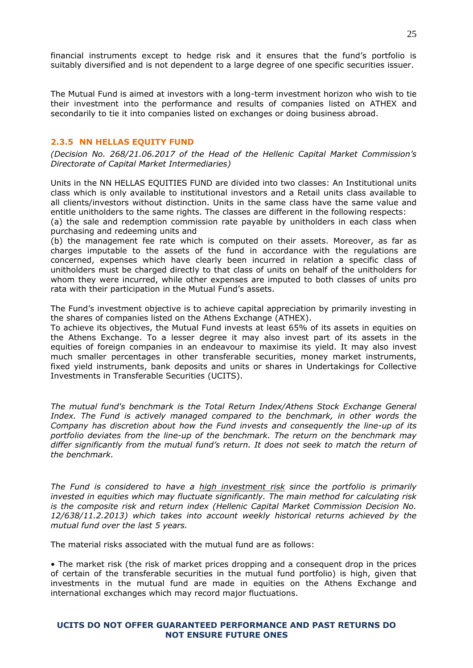financial instruments except to hedge risk and it ensures that the fund's portfolio is suitably diversified and is not dependent to a large degree of one specific securities issuer.

The Mutual Fund is aimed at investors with a long-term investment horizon who wish to tie their investment into the performance and results of companies listed on ATHEX and secondarily to tie it into companies listed on exchanges or doing business abroad.

#### <span id="page-24-0"></span>**2.3.5 NN HELLAS EQUITY FUND**

*(Decision No. 268/21.06.2017 of the Head of the Hellenic Capital Market Commission's Directorate of Capital Market Intermediaries)* 

Units in the NN HELLAS EQUITIES FUND are divided into two classes: An Institutional units class which is only available to institutional investors and a Retail units class available to all clients/investors without distinction. Units in the same class have the same value and entitle unitholders to the same rights. The classes are different in the following respects:

(a) the sale and redemption commission rate payable by unitholders in each class when purchasing and redeeming units and

(b) the management fee rate which is computed on their assets. Moreover, as far as charges imputable to the assets of the fund in accordance with the regulations are concerned, expenses which have clearly been incurred in relation a specific class of unitholders must be charged directly to that class of units on behalf of the unitholders for whom they were incurred, while other expenses are imputed to both classes of units pro rata with their participation in the Mutual Fund's assets.

The Fund's investment objective is to achieve capital appreciation by primarily investing in the shares of companies listed on the Athens Exchange (ATHEX).

To achieve its objectives, the Mutual Fund invests at least 65% of its assets in equities on the Athens Exchange. To a lesser degree it may also invest part of its assets in the equities of foreign companies in an endeavour to maximise its yield. It may also invest much smaller percentages in other transferable securities, money market instruments, fixed yield instruments, bank deposits and units or shares in Undertakings for Collective Investments in Transferable Securities (UCITS).

*The mutual fund's benchmark is the Total Return Index/Athens Stock Exchange General*  Index. The Fund is actively managed compared to the benchmark, in other words the *Company has discretion about how the Fund invests and consequently the line-up of its portfolio deviates from the line-up of the benchmark. The return on the benchmark may differ significantly from the mutual fund's return. It does not seek to match the return of the benchmark.*

*The Fund is considered to have a high investment risk since the portfolio is primarily invested in equities which may fluctuate significantly. The main method for calculating risk is the composite risk and return index (Hellenic Capital Market Commission Decision No. 12/638/11.2.2013) which takes into account weekly historical returns achieved by the mutual fund over the last 5 years.*

The material risks associated with the mutual fund are as follows:

• The market risk (the risk of market prices dropping and a consequent drop in the prices of certain of the transferable securities in the mutual fund portfolio) is high, given that investments in the mutual fund are made in equities on the Athens Exchange and international exchanges which may record major fluctuations.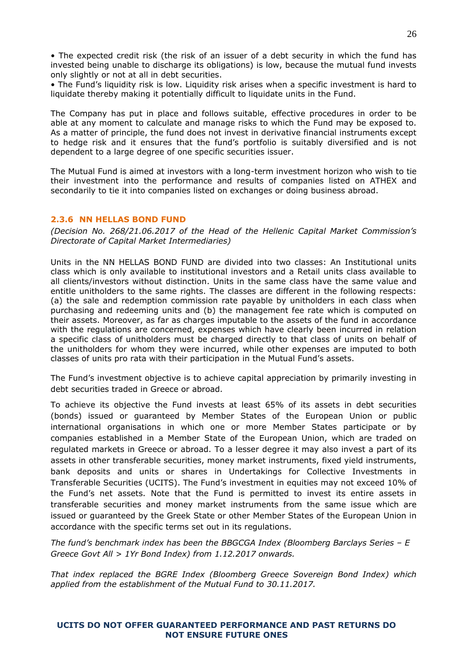• The expected credit risk (the risk of an issuer of a debt security in which the fund has invested being unable to discharge its obligations) is low, because the mutual fund invests only slightly or not at all in debt securities.

• The Fund's liquidity risk is low. Liquidity risk arises when a specific investment is hard to liquidate thereby making it potentially difficult to liquidate units in the Fund.

The Company has put in place and follows suitable, effective procedures in order to be able at any moment to calculate and manage risks to which the Fund may be exposed to. As a matter of principle, the fund does not invest in derivative financial instruments except to hedge risk and it ensures that the fund's portfolio is suitably diversified and is not dependent to a large degree of one specific securities issuer.

The Mutual Fund is aimed at investors with a long-term investment horizon who wish to tie their investment into the performance and results of companies listed on ATHEX and secondarily to tie it into companies listed on exchanges or doing business abroad.

# <span id="page-25-0"></span>**2.3.6 NN HELLAS BOND FUND**

*(Decision No. 268/21.06.2017 of the Head of the Hellenic Capital Market Commission's Directorate of Capital Market Intermediaries)* 

Units in the NN HELLAS BOND FUND are divided into two classes: An Institutional units class which is only available to institutional investors and a Retail units class available to all clients/investors without distinction. Units in the same class have the same value and entitle unitholders to the same rights. The classes are different in the following respects: (a) the sale and redemption commission rate payable by unitholders in each class when purchasing and redeeming units and (b) the management fee rate which is computed on their assets. Moreover, as far as charges imputable to the assets of the fund in accordance with the regulations are concerned, expenses which have clearly been incurred in relation a specific class of unitholders must be charged directly to that class of units on behalf of the unitholders for whom they were incurred, while other expenses are imputed to both classes of units pro rata with their participation in the Mutual Fund's assets.

The Fund's investment objective is to achieve capital appreciation by primarily investing in debt securities traded in Greece or abroad.

To achieve its objective the Fund invests at least 65% of its assets in debt securities (bonds) issued or guaranteed by Member States of the European Union or public international organisations in which one or more Member States participate or by companies established in a Member State of the European Union, which are traded on regulated markets in Greece or abroad. To a lesser degree it may also invest a part of its assets in other transferable securities, money market instruments, fixed yield instruments, bank deposits and units or shares in Undertakings for Collective Investments in Transferable Securities (UCITS). The Fund's investment in equities may not exceed 10% of the Fund's net assets. Note that the Fund is permitted to invest its entire assets in transferable securities and money market instruments from the same issue which are issued or guaranteed by the Greek State or other Member States of the European Union in accordance with the specific terms set out in its regulations.

*The fund's benchmark index has been the BBGCGA Index (Bloomberg Barclays Series – E Greece Govt All > 1Yr Bond Index) from 1.12.2017 onwards.*

*That index replaced the BGRE Index (Bloomberg Greece Sovereign Bond Index) which applied from the establishment of the Mutual Fund to 30.11.2017.*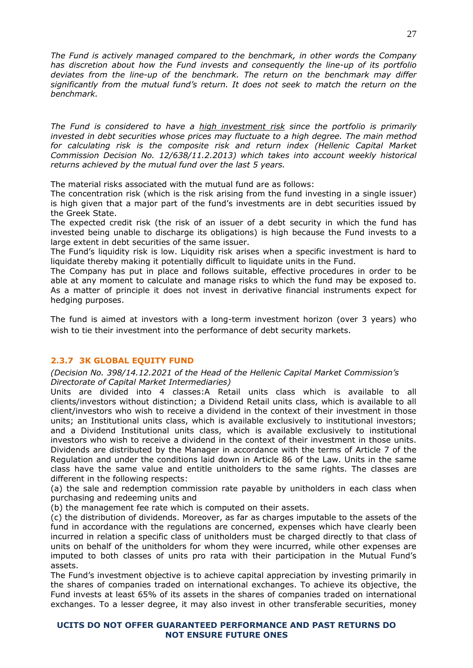*The Fund is actively managed compared to the benchmark, in other words the Company has discretion about how the Fund invests and consequently the line-up of its portfolio deviates from the line-up of the benchmark. The return on the benchmark may differ significantly from the mutual fund's return. It does not seek to match the return on the benchmark.*

*The Fund is considered to have a high investment risk since the portfolio is primarily invested in debt securities whose prices may fluctuate to a high degree. The main method for calculating risk is the composite risk and return index (Hellenic Capital Market Commission Decision No. 12/638/11.2.2013) which takes into account weekly historical returns achieved by the mutual fund over the last 5 years.*

The material risks associated with the mutual fund are as follows:

The concentration risk (which is the risk arising from the fund investing in a single issuer) is high given that a major part of the fund's investments are in debt securities issued by the Greek State.

The expected credit risk (the risk of an issuer of a debt security in which the fund has invested being unable to discharge its obligations) is high because the Fund invests to a large extent in debt securities of the same issuer.

The Fund's liquidity risk is low. Liquidity risk arises when a specific investment is hard to liquidate thereby making it potentially difficult to liquidate units in the Fund.

The Company has put in place and follows suitable, effective procedures in order to be able at any moment to calculate and manage risks to which the fund may be exposed to. As a matter of principle it does not invest in derivative financial instruments expect for hedging purposes.

The fund is aimed at investors with a long-term investment horizon (over 3 years) who wish to tie their investment into the performance of debt security markets.

# <span id="page-26-0"></span>**2.3.7 3Κ GLOBAL EQUITY FUND**

#### *(Decision No. 398/14.12.2021 of the Head of the Hellenic Capital Market Commission's Directorate of Capital Market Intermediaries)*

Units are divided into 4 classes:A Retail units class which is available to all clients/investors without distinction; a Dividend Retail units class, which is available to all client/investors who wish to receive a dividend in the context of their investment in those units; an Institutional units class, which is available exclusively to institutional investors; and a Dividend Institutional units class, which is available exclusively to institutional investors who wish to receive a dividend in the context of their investment in those units. Dividends are distributed by the Manager in accordance with the terms of Article 7 of the Regulation and under the conditions laid down in Article 86 of the Law. Units in the same class have the same value and entitle unitholders to the same rights. The classes are different in the following respects:

(a) the sale and redemption commission rate payable by unitholders in each class when purchasing and redeeming units and

(b) the management fee rate which is computed on their assets.

(c) the distribution of dividends. Moreover, as far as charges imputable to the assets of the fund in accordance with the regulations are concerned, expenses which have clearly been incurred in relation a specific class of unitholders must be charged directly to that class of units on behalf of the unitholders for whom they were incurred, while other expenses are imputed to both classes of units pro rata with their participation in the Mutual Fund's assets.

The Fund's investment objective is to achieve capital appreciation by investing primarily in the shares of companies traded on international exchanges. To achieve its objective, the Fund invests at least 65% of its assets in the shares of companies traded on international exchanges. To a lesser degree, it may also invest in other transferable securities, money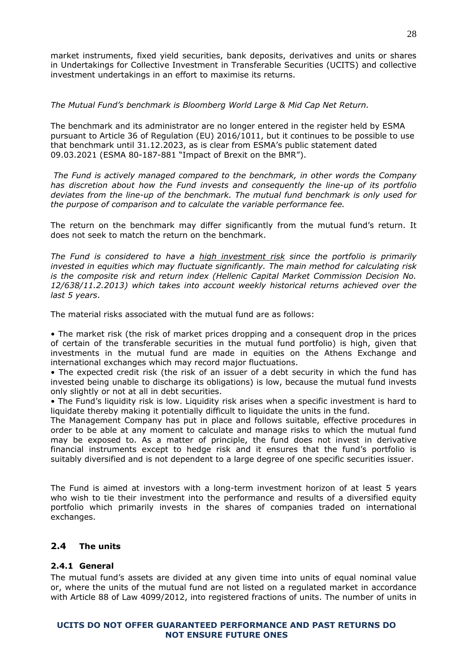market instruments, fixed yield securities, bank deposits, derivatives and units or shares in Undertakings for Collective Investment in Transferable Securities (UCITS) and collective investment undertakings in an effort to maximise its returns.

# *The Mutual Fund's benchmark is Bloomberg World Large & Mid Cap Net Return.*

The benchmark and its administrator are no longer entered in the register held by ESMA pursuant to Article 36 of Regulation (EU) 2016/1011, but it continues to be possible to use that benchmark until 31.12.2023, as is clear from ESMA's public statement dated 09.03.2021 (ESMA 80-187-881 "Impact of Brexit on the BMR").

*The Fund is actively managed compared to the benchmark, in other words the Company has discretion about how the Fund invests and consequently the line-up of its portfolio deviates from the line-up of the benchmark. The mutual fund benchmark is only used for the purpose of comparison and to calculate the variable performance fee.*

The return on the benchmark may differ significantly from the mutual fund's return. It does not seek to match the return on the benchmark.

*The Fund is considered to have a high investment risk since the portfolio is primarily invested in equities which may fluctuate significantly. The main method for calculating risk is the composite risk and return index (Hellenic Capital Market Commission Decision No. 12/638/11.2.2013) which takes into account weekly historical returns achieved over the last 5 years*.

The material risks associated with the mutual fund are as follows:

• The market risk (the risk of market prices dropping and a consequent drop in the prices of certain of the transferable securities in the mutual fund portfolio) is high, given that investments in the mutual fund are made in equities on the Athens Exchange and international exchanges which may record major fluctuations.

• The expected credit risk (the risk of an issuer of a debt security in which the fund has invested being unable to discharge its obligations) is low, because the mutual fund invests only slightly or not at all in debt securities.

• The Fund's liquidity risk is low. Liquidity risk arises when a specific investment is hard to liquidate thereby making it potentially difficult to liquidate the units in the fund.

The Management Company has put in place and follows suitable, effective procedures in order to be able at any moment to calculate and manage risks to which the mutual fund may be exposed to. As a matter of principle, the fund does not invest in derivative financial instruments except to hedge risk and it ensures that the fund's portfolio is suitably diversified and is not dependent to a large degree of one specific securities issuer.

The Fund is aimed at investors with a long-term investment horizon of at least 5 years who wish to tie their investment into the performance and results of a diversified equity portfolio which primarily invests in the shares of companies traded on international exchanges.

# <span id="page-27-0"></span>**2.4 The units**

# <span id="page-27-1"></span>**2.4.1 General**

The mutual fund's assets are divided at any given time into units of equal nominal value or, where the units of the mutual fund are not listed on a regulated market in accordance with Article 88 of Law 4099/2012, into registered fractions of units. The number of units in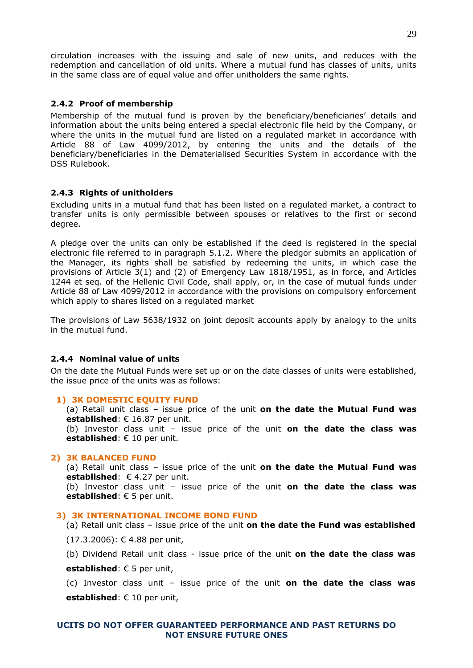circulation increases with the issuing and sale of new units, and reduces with the redemption and cancellation of old units. Where a mutual fund has classes of units, units in the same class are of equal value and offer unitholders the same rights.

# <span id="page-28-0"></span>**2.4.2 Proof of membership**

Membership of the mutual fund is proven by the beneficiary/beneficiaries' details and information about the units being entered a special electronic file held by the Company, or where the units in the mutual fund are listed on a regulated market in accordance with Article 88 of Law 4099/2012, by entering the units and the details of the beneficiary/beneficiaries in the Dematerialised Securities System in accordance with the DSS Rulebook.

# <span id="page-28-1"></span>**2.4.3 Rights of unitholders**

Excluding units in a mutual fund that has been listed on a regulated market, a contract to transfer units is only permissible between spouses or relatives to the first or second degree.

A pledge over the units can only be established if the deed is registered in the special electronic file referred to in paragraph 5.1.2. Where the pledgor submits an application of the Manager, its rights shall be satisfied by redeeming the units, in which case the provisions of Article 3(1) and (2) of Emergency Law 1818/1951, as in force, and Articles 1244 et seq. of the Hellenic Civil Code, shall apply, or, in the case of mutual funds under Article 88 of Law 4099/2012 in accordance with the provisions on compulsory enforcement which apply to shares listed on a regulated market

The provisions of Law 5638/1932 on joint deposit accounts apply by analogy to the units in the mutual fund.

# <span id="page-28-2"></span>**2.4.4 Nominal value of units**

On the date the Mutual Funds were set up or on the date classes of units were established, the issue price of the units was as follows:

# **1) 3K DOMESTIC EQUITY FUND**

(a) Retail unit class – issue price of the unit **on the date the Mutual Fund was established**: € 16.87 per unit.

(b) Investor class unit – issue price of the unit **on the date the class was established**: € 10 per unit.

# **2) 3K BALANCED FUND**

(a) Retail unit class – issue price of the unit **on the date the Mutual Fund was established**: € 4.27 per unit.

(b) Investor class unit – issue price of the unit **on the date the class was established**: € 5 per unit.

# **3) 3K INTERNATIONAL INCOME BOND FUND**

(a) Retail unit class – issue price of the unit **on the date the Fund was established**

- (17.3.2006): € 4.88 per unit,
- (b) Dividend Retail unit class issue price of the unit **on the date the class was**

**established**: € 5 per unit,

(c) Investor class unit – issue price of the unit **on the date the class was established**: € 10 per unit,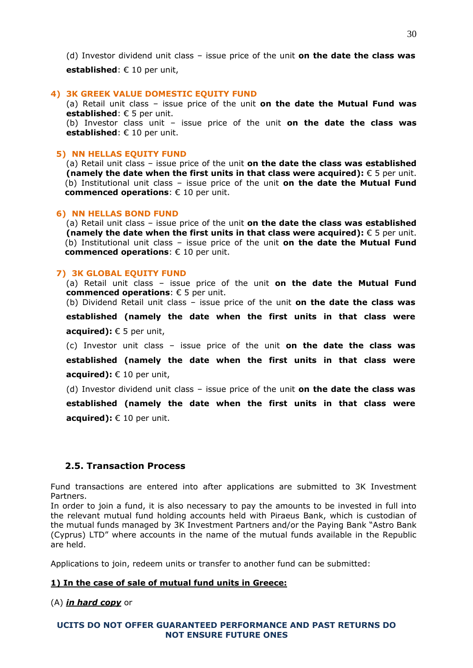(d) Investor dividend unit class – issue price of the unit **on the date the class was** 

**established**: € 10 per unit,

#### **4) 3K GREEK VALUE DOMESTIC EQUITY FUND**

(a) Retail unit class – issue price of the unit **on the date the Mutual Fund was established**: € 5 per unit.

(b) Investor class unit – issue price of the unit **on the date the class was established**: € 10 per unit.

## **5) NN HELLAS EQUITY FUND**

(a) Retail unit class – issue price of the unit **on the date the class was established (namely the date when the first units in that class were acquired):** € 5 per unit. (b) Institutional unit class – issue price of the unit **on the date the Mutual Fund commenced operations**: € 10 per unit.

#### **6) NN HELLAS BOND FUND**

(a) Retail unit class – issue price of the unit **on the date the class was established (namely the date when the first units in that class were acquired):** € 5 per unit. (b) Institutional unit class – issue price of the unit **on the date the Mutual Fund commenced operations**: € 10 per unit.

#### **7) 3K GLOBAL EQUITY FUND**

(a) Retail unit class – issue price of the unit **on the date the Mutual Fund commenced operations**: € 5 per unit.

(b) Dividend Retail unit class – issue price of the unit **on the date the class was** 

**established (namely the date when the first units in that class were acquired):** € 5 per unit,

(c) Investor unit class – issue price of the unit **on the date the class was** 

**established (namely the date when the first units in that class were acquired):** € 10 per unit,

(d) Investor dividend unit class – issue price of the unit **on the date the class was** 

**established (namely the date when the first units in that class were acquired):** € 10 per unit.

# **2.5. Transaction Process**

Fund transactions are entered into after applications are submitted to 3K Investment Partners.

In order to join a fund, it is also necessary to pay the amounts to be invested in full into the relevant mutual fund holding accounts held with Piraeus Bank, which is custodian of the mutual funds managed by 3K Investment Partners and/or the Paying Bank "Astro Bank (Cyprus) LTD" where accounts in the name of the mutual funds available in the Republic are held.

Applications to join, redeem units or transfer to another fund can be submitted:

# **1) In the case of sale of mutual fund units in Greece:**

(A) *in hard copy* or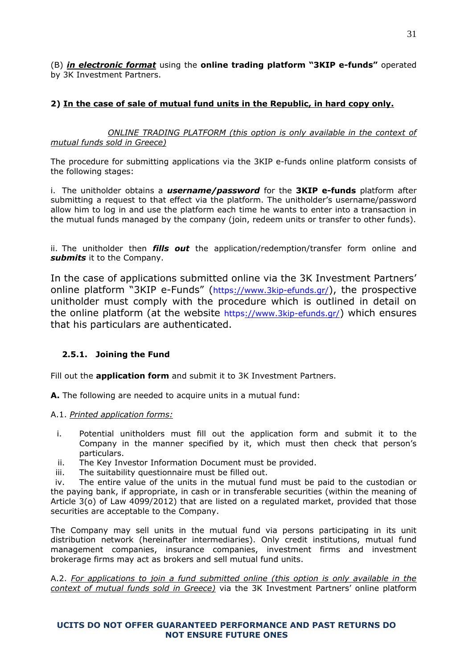(B) *in electronic format* using the **online trading platform "3KIP e-funds"** operated by 3Κ Investment Partners.

# **2) In the case of sale of mutual fund units in the Republic, in hard copy only.**

*ONLINE TRADING PLATFORM (this option is only available in the context of mutual funds sold in Greece)*

The procedure for submitting applications via the 3KIP e-funds online platform consists of the following stages:

i. The unitholder obtains a *username/password* for the **3KIP e-funds** platform after submitting a request to that effect via the platform. The unitholder's username/password allow him to log in and use the platform each time he wants to enter into a transaction in the mutual funds managed by the company (join, redeem units or transfer to other funds).

ii. The unitholder then *fills out* the application/redemption/transfer form online and *submits* it to the Company.

In the case of applications submitted online via the 3Κ Investment Partners' online platform "3ΚIP e-Funds" (<https://www.3kip-efunds.gr/>), the prospective unitholder must comply with the procedure which is outlined in detail on the online platform (at the website <https://www.3kip-efunds.gr/>) which ensures that his particulars are authenticated.

# <span id="page-30-0"></span>**2.5.1. Joining the Fund**

Fill out the **application form** and submit it to 3K Investment Partners.

**A.** The following are needed to acquire units in a mutual fund:

# Α.1. *Printed application forms:*

- i. Potential unitholders must fill out the application form and submit it to the Company in the manner specified by it, which must then check that person's particulars.
- ii. The Key Investor Information Document must be provided.
- iii. The suitability questionnaire must be filled out.

iv. The entire value of the units in the mutual fund must be paid to the custodian or the paying bank, if appropriate, in cash or in transferable securities (within the meaning of Article 3(o) of Law 4099/2012) that are listed on a regulated market, provided that those securities are acceptable to the Company.

The Company may sell units in the mutual fund via persons participating in its unit distribution network (hereinafter intermediaries). Only credit institutions, mutual fund management companies, insurance companies, investment firms and investment brokerage firms may act as brokers and sell mutual fund units.

Α.2. *For applications to join a fund submitted online (this option is only available in the context of mutual funds sold in Greece)* via the 3Κ Investment Partners' online platform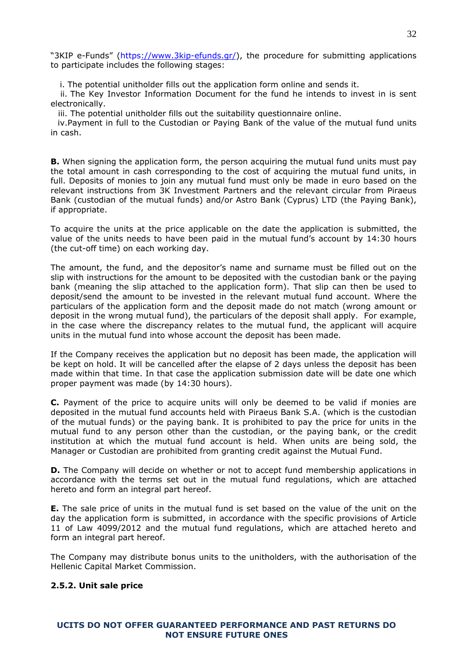"3KIP e-Funds" ([https://www.3kip-efunds.gr/\)](https://www.3kip-efunds.gr/), the procedure for submitting applications to participate includes the following stages:

i. The potential unitholder fills out the application form online and sends it.

ii. The Key Investor Information Document for the fund he intends to invest in is sent electronically.

iii. The potential unitholder fills out the suitability questionnaire online.

iv.Payment in full to the Custodian or Paying Bank of the value of the mutual fund units in cash.

**B.** When signing the application form, the person acquiring the mutual fund units must pay the total amount in cash corresponding to the cost of acquiring the mutual fund units, in full. Deposits of monies to join any mutual fund must only be made in euro based on the relevant instructions from 3K Investment Partners and the relevant circular from Piraeus Bank (custodian of the mutual funds) and/or Astro Bank (Cyprus) LTD (the Paying Bank), if appropriate.

To acquire the units at the price applicable on the date the application is submitted, the value of the units needs to have been paid in the mutual fund's account by 14:30 hours (the cut-off time) on each working day.

The amount, the fund, and the depositor's name and surname must be filled out on the slip with instructions for the amount to be deposited with the custodian bank or the paying bank (meaning the slip attached to the application form). That slip can then be used to deposit/send the amount to be invested in the relevant mutual fund account. Where the particulars of the application form and the deposit made do not match (wrong amount or deposit in the wrong mutual fund), the particulars of the deposit shall apply. For example, in the case where the discrepancy relates to the mutual fund, the applicant will acquire units in the mutual fund into whose account the deposit has been made.

If the Company receives the application but no deposit has been made, the application will be kept on hold. It will be cancelled after the elapse of 2 days unless the deposit has been made within that time. In that case the application submission date will be date one which proper payment was made (by 14:30 hours).

**C.** Payment of the price to acquire units will only be deemed to be valid if monies are deposited in the mutual fund accounts held with Piraeus Bank S.A. (which is the custodian of the mutual funds) or the paying bank. It is prohibited to pay the price for units in the mutual fund to any person other than the custodian, or the paying bank, or the credit institution at which the mutual fund account is held. When units are being sold, the Manager or Custodian are prohibited from granting credit against the Mutual Fund.

**D.** The Company will decide on whether or not to accept fund membership applications in accordance with the terms set out in the mutual fund regulations, which are attached hereto and form an integral part hereof.

**E.** The sale price of units in the mutual fund is set based on the value of the unit on the day the application form is submitted, in accordance with the specific provisions of Article 11 of Law 4099/2012 and the mutual fund regulations, which are attached hereto and form an integral part hereof.

The Company may distribute bonus units to the unitholders, with the authorisation of the Hellenic Capital Market Commission.

# <span id="page-31-0"></span>**2.5.2. Unit sale price**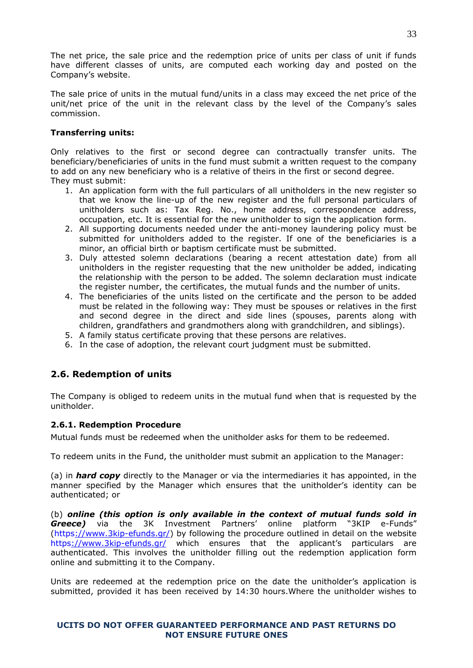The net price, the sale price and the redemption price of units per class of unit if funds have different classes of units, are computed each working day and posted on the Company's website.

The sale price of units in the mutual fund/units in a class may exceed the net price of the unit/net price of the unit in the relevant class by the level of the Company's sales commission.

# **Transferring units:**

Only relatives to the first or second degree can contractually transfer units. The beneficiary/beneficiaries of units in the fund must submit a written request to the company to add on any new beneficiary who is a relative of theirs in the first or second degree. They must submit:

- 1. An application form with the full particulars of all unitholders in the new register so that we know the line-up of the new register and the full personal particulars of unitholders such as: Tax Reg. No., home address, correspondence address, occupation, etc. It is essential for the new unitholder to sign the application form.
- 2. All supporting documents needed under the anti-money laundering policy must be submitted for unitholders added to the register. If one of the beneficiaries is a minor, an official birth or baptism certificate must be submitted.
- 3. Duly attested solemn declarations (bearing a recent attestation date) from all unitholders in the register requesting that the new unitholder be added, indicating the relationship with the person to be added. The solemn declaration must indicate the register number, the certificates, the mutual funds and the number of units.
- 4. The beneficiaries of the units listed on the certificate and the person to be added must be related in the following way: They must be spouses or relatives in the first and second degree in the direct and side lines (spouses, parents along with children, grandfathers and grandmothers along with grandchildren, and siblings).
- 5. A family status certificate proving that these persons are relatives.
- 6. In the case of adoption, the relevant court judgment must be submitted.

# <span id="page-32-0"></span>**2.6. Redemption of units**

The Company is obliged to redeem units in the mutual fund when that is requested by the unitholder.

# <span id="page-32-1"></span>**2.6.1. Redemption Procedure**

Mutual funds must be redeemed when the unitholder asks for them to be redeemed.

To redeem units in the Fund, the unitholder must submit an application to the Manager:

(a) in *hard copy* directly to the Manager or via the intermediaries it has appointed, in the manner specified by the Manager which ensures that the unitholder's identity can be authenticated; or

(b) *online (this option is only available in the context of mutual funds sold in Greece)* via the 3K Investment Partners' online platform "3KIP e-Funds" [\(https://www.3kip-efunds.gr/\)](https://www.3kip-efunds.gr/) by following the procedure outlined in detail on the website <https://www.3kip-efunds.gr/> which ensures that the applicant's particulars are authenticated. This involves the unitholder filling out the redemption application form online and submitting it to the Company.

Units are redeemed at the redemption price on the date the unitholder's application is submitted, provided it has been received by 14:30 hours.Where the unitholder wishes to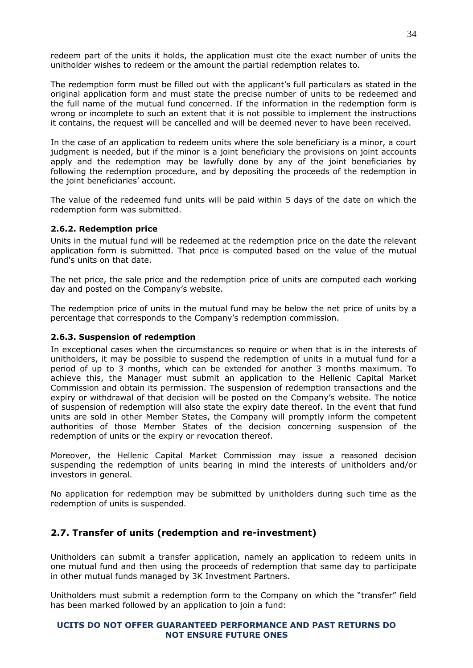redeem part of the units it holds, the application must cite the exact number of units the unitholder wishes to redeem or the amount the partial redemption relates to.

The redemption form must be filled out with the applicant's full particulars as stated in the original application form and must state the precise number of units to be redeemed and the full name of the mutual fund concerned. If the information in the redemption form is wrong or incomplete to such an extent that it is not possible to implement the instructions it contains, the request will be cancelled and will be deemed never to have been received.

In the case of an application to redeem units where the sole beneficiary is a minor, a court judgment is needed, but if the minor is a joint beneficiary the provisions on joint accounts apply and the redemption may be lawfully done by any of the joint beneficiaries by following the redemption procedure, and by depositing the proceeds of the redemption in the joint beneficiaries' account.

The value of the redeemed fund units will be paid within 5 days of the date on which the redemption form was submitted.

# <span id="page-33-0"></span>**2.6.2. Redemption price**

Units in the mutual fund will be redeemed at the redemption price on the date the relevant application form is submitted. That price is computed based on the value of the mutual fund's units on that date.

The net price, the sale price and the redemption price of units are computed each working day and posted on the Company's website.

The redemption price of units in the mutual fund may be below the net price of units by a percentage that corresponds to the Company's redemption commission.

#### <span id="page-33-1"></span>**2.6.3. Suspension of redemption**

In exceptional cases when the circumstances so require or when that is in the interests of unitholders, it may be possible to suspend the redemption of units in a mutual fund for a period of up to 3 months, which can be extended for another 3 months maximum. To achieve this, the Manager must submit an application to the Hellenic Capital Market Commission and obtain its permission. The suspension of redemption transactions and the expiry or withdrawal of that decision will be posted on the Company's website. The notice of suspension of redemption will also state the expiry date thereof. In the event that fund units are sold in other Member States, the Company will promptly inform the competent authorities of those Member States of the decision concerning suspension of the redemption of units or the expiry or revocation thereof.

Moreover, the Hellenic Capital Market Commission may issue a reasoned decision suspending the redemption of units bearing in mind the interests of unitholders and/or investors in general.

No application for redemption may be submitted by unitholders during such time as the redemption of units is suspended.

# <span id="page-33-2"></span>**2.7. Transfer of units (redemption and re-investment)**

Unitholders can submit a transfer application, namely an application to redeem units in one mutual fund and then using the proceeds of redemption that same day to participate in other mutual funds managed by 3Κ Investment Partners.

Unitholders must submit a redemption form to the Company on which the "transfer" field has been marked followed by an application to join a fund: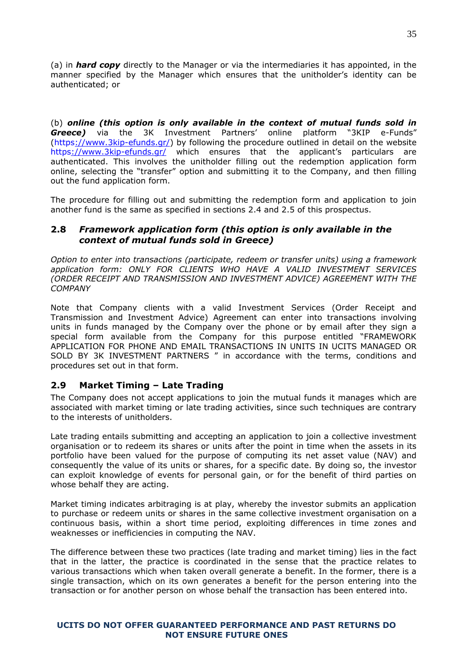(a) in *hard copy* directly to the Manager or via the intermediaries it has appointed, in the manner specified by the Manager which ensures that the unitholder's identity can be authenticated; or

(b) *online (this option is only available in the context of mutual funds sold in Greece)* via the 3K Investment Partners' online platform "3KIP e-Funds" [\(https://www.3kip-efunds.gr/\)](https://www.3kip-efunds.gr/) by following the procedure outlined in detail on the website <https://www.3kip-efunds.gr/> which ensures that the applicant's particulars are authenticated. This involves the unitholder filling out the redemption application form online, selecting the "transfer" option and submitting it to the Company, and then filling out the fund application form.

The procedure for filling out and submitting the redemption form and application to join another fund is the same as specified in sections 2.4 and 2.5 of this prospectus.

# <span id="page-34-0"></span>**2.8** *Framework application form (this option is only available in the context of mutual funds sold in Greece)*

*Option to enter into transactions (participate, redeem or transfer units) using a framework application form: ONLY FOR CLIENTS WHO HAVE A VALID INVESTMENT SERVICES (ORDER RECEIPT AND TRANSMISSION AND INVESTMENT ADVICE) AGREEMENT WITH THE COMPANY*

Note that Company clients with a valid Investment Services (Order Receipt and Transmission and Investment Advice) Agreement can enter into transactions involving units in funds managed by the Company over the phone or by email after they sign a special form available from the Company for this purpose entitled "FRAMEWORK APPLICATION FOR PHONE AND EMAIL TRANSACTIONS IN UNITS IN UCITS MANAGED OR SOLD BY 3K INVESTMENT PARTNERS " in accordance with the terms, conditions and procedures set out in that form.

# <span id="page-34-1"></span>**2.9 Market Timing – Late Trading**

The Company does not accept applications to join the mutual funds it manages which are associated with market timing or late trading activities, since such techniques are contrary to the interests of unitholders.

Late trading entails submitting and accepting an application to join a collective investment organisation or to redeem its shares or units after the point in time when the assets in its portfolio have been valued for the purpose of computing its net asset value (NAV) and consequently the value of its units or shares, for a specific date. By doing so, the investor can exploit knowledge of events for personal gain, or for the benefit of third parties on whose behalf they are acting.

Market timing indicates arbitraging is at play, whereby the investor submits an application to purchase or redeem units or shares in the same collective investment organisation on a continuous basis, within a short time period, exploiting differences in time zones and weaknesses or inefficiencies in computing the NAV.

The difference between these two practices (late trading and market timing) lies in the fact that in the latter, the practice is coordinated in the sense that the practice relates to various transactions which when taken overall generate a benefit. In the former, there is a single transaction, which on its own generates a benefit for the person entering into the transaction or for another person on whose behalf the transaction has been entered into.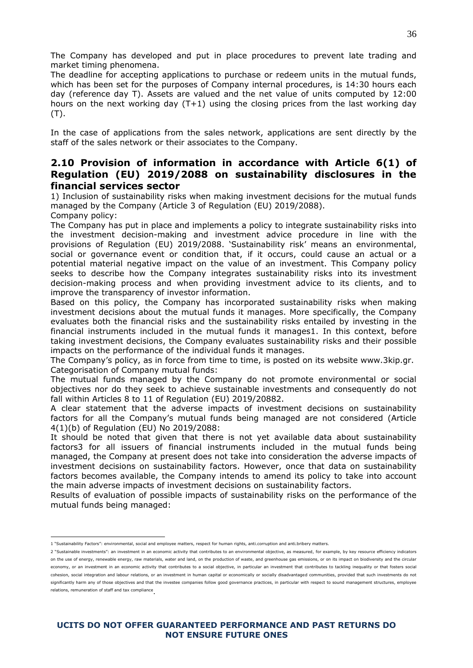The Company has developed and put in place procedures to prevent late trading and market timing phenomena.

The deadline for accepting applications to purchase or redeem units in the mutual funds, which has been set for the purposes of Company internal procedures, is 14:30 hours each day (reference day T). Assets are valued and the net value of units computed by 12:00 hours on the next working day (T+1) using the closing prices from the last working day (T).

In the case of applications from the sales network, applications are sent directly by the staff of the sales network or their associates to the Company.

# **2.10 Provision of information in accordance with Article 6(1) of Regulation (EU) 2019/2088 on sustainability disclosures in the financial services sector**

1) Inclusion of sustainability risks when making investment decisions for the mutual funds managed by the Company (Article 3 of Regulation (EU) 2019/2088).

Company policy:

The Company has put in place and implements a policy to integrate sustainability risks into the investment decision-making and investment advice procedure in line with the provisions of Regulation (EU) 2019/2088. 'Sustainability risk' means an environmental, social or governance event or condition that, if it occurs, could cause an actual or a potential material negative impact on the value of an investment. This Company policy seeks to describe how the Company integrates sustainability risks into its investment decision-making process and when providing investment advice to its clients, and to improve the transparency of investor information.

Based on this policy, the Company has incorporated sustainability risks when making investment decisions about the mutual funds it manages. More specifically, the Company evaluates both the financial risks and the sustainability risks entailed by investing in the financial instruments included in the mutual funds it manages1. In this context, before taking investment decisions, the Company evaluates sustainability risks and their possible impacts on the performance of the individual funds it manages.

The Company's policy, as in force from time to time, is posted on its website www.3kip.gr. Categorisation of Company mutual funds:

The mutual funds managed by the Company do not promote environmental or social objectives nor do they seek to achieve sustainable investments and consequently do not fall within Articles 8 to 11 of Regulation (EU) 2019/20882.

A clear statement that the adverse impacts of investment decisions on sustainability factors for all the Company's mutual funds being managed are not considered (Article 4(1)(b) of Regulation (EU) No 2019/2088:

It should be noted that given that there is not yet available data about sustainability factors3 for all issuers of financial instruments included in the mutual funds being managed, the Company at present does not take into consideration the adverse impacts of investment decisions on sustainability factors. However, once that data on sustainability factors becomes available, the Company intends to amend its policy to take into account the main adverse impacts of investment decisions on sustainability factors.

Results of evaluation of possible impacts of sustainability risks on the performance of the mutual funds being managed:

<sup>&</sup>lt;u>.</u> 1 "Sustainability Factors": environmental, social and employee matters, respect for human rights, anti<sub>corruption</sub> and anti-bribery matters.

<sup>2</sup> "Sustainable investments": an investment in an economic activity that contributes to an environmental objective, as measured, for example, by key resource efficiency indicators on the use of energy, renewable energy, raw materials, water and land, on the production of waste, and greenhouse gas emissions, or on its impact on biodiversity and the circular economy, or an investment in an economic activity that contributes to a social objective, in particular an investment that contributes to tackling inequality or that fosters social cohesion, social integration and labour relations, or an investment in human capital or economically or socially disadvantaged communities, provided that such investments do not significantly harm any of those objectives and that the investee companies follow good governance practices, in particular with respect to sound management structures, employee relations, remuneration of staff and tax compliance .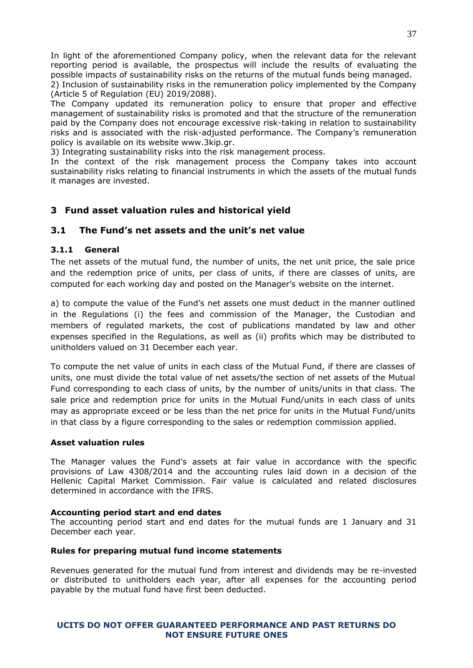In light of the aforementioned Company policy, when the relevant data for the relevant reporting period is available, the prospectus will include the results of evaluating the possible impacts of sustainability risks on the returns of the mutual funds being managed.

2) Inclusion of sustainability risks in the remuneration policy implemented by the Company (Article 5 of Regulation (EU) 2019/2088).

The Company updated its remuneration policy to ensure that proper and effective management of sustainability risks is promoted and that the structure of the remuneration paid by the Company does not encourage excessive risk-taking in relation to sustainability risks and is associated with the risk-adjusted performance. The Company's remuneration policy is available on its website www.3kip.gr.

3) Integrating sustainability risks into the risk management process.

In the context of the risk management process the Company takes into account sustainability risks relating to financial instruments in which the assets of the mutual funds it manages are invested.

# <span id="page-36-0"></span>**3 Fund asset valuation rules and historical yield**

# <span id="page-36-1"></span>**3.1 The Fund's net assets and the unit's net value**

# <span id="page-36-2"></span>**3.1.1 General**

The net assets of the mutual fund, the number of units, the net unit price, the sale price and the redemption price of units, per class of units, if there are classes of units, are computed for each working day and posted on the Manager's website on the internet.

a) to compute the value of the Fund's net assets one must deduct in the manner outlined in the Regulations (i) the fees and commission of the Manager, the Custodian and members of regulated markets, the cost of publications mandated by law and other expenses specified in the Regulations, as well as (ii) profits which may be distributed to unitholders valued on 31 December each year.

To compute the net value of units in each class of the Mutual Fund, if there are classes of units, one must divide the total value of net assets/the section of net assets of the Mutual Fund corresponding to each class of units, by the number of units/units in that class. The sale price and redemption price for units in the Mutual Fund/units in each class of units may as appropriate exceed or be less than the net price for units in the Mutual Fund/units in that class by a figure corresponding to the sales or redemption commission applied.

#### <span id="page-36-3"></span>**Asset valuation rules**

The Manager values the Fund's assets at fair value in accordance with the specific provisions of Law 4308/2014 and the accounting rules laid down in a decision of the Hellenic Capital Market Commission. Fair value is calculated and related disclosures determined in accordance with the IFRS.

#### **Accounting period start and end dates**

The accounting period start and end dates for the mutual funds are 1 January and 31 December each year.

# **Rules for preparing mutual fund income statements**

Revenues generated for the mutual fund from interest and dividends may be re-invested or distributed to unitholders each year, after all expenses for the accounting period payable by the mutual fund have first been deducted.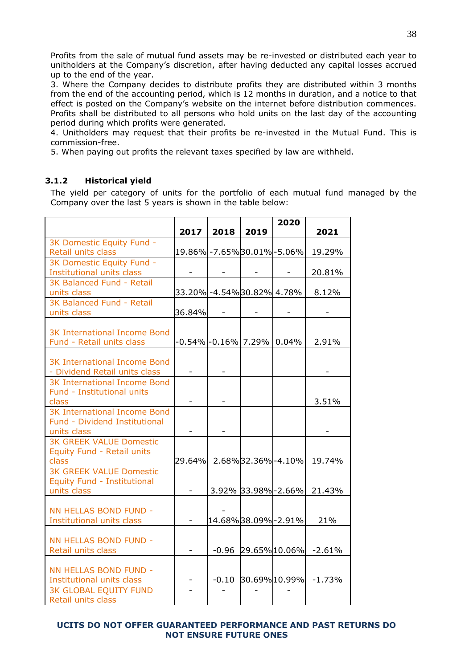Profits from the sale of mutual fund assets may be re-invested or distributed each year to unitholders at the Company's discretion, after having deducted any capital losses accrued up to the end of the year.

3. Where the Company decides to distribute profits they are distributed within 3 months from the end of the accounting period, which is 12 months in duration, and a notice to that effect is posted on the Company's website on the internet before distribution commences. Profits shall be distributed to all persons who hold units on the last day of the accounting period during which profits were generated.

4. Unitholders may request that their profits be re-invested in the Mutual Fund. This is commission-free.

5. When paying out profits the relevant taxes specified by law are withheld.

# <span id="page-37-0"></span>**3.1.2 Historical yield**

The yield per category of units for the portfolio of each mutual fund managed by the Company over the last 5 years is shown in the table below:

|                                              |                             |                               |                          | 2020                     |                      |
|----------------------------------------------|-----------------------------|-------------------------------|--------------------------|--------------------------|----------------------|
|                                              | 2017                        | 2018                          | 2019                     |                          | 2021                 |
| 3K Domestic Equity Fund -                    |                             |                               |                          |                          |                      |
| Retail units class                           |                             | 19.86% - 7.65% 30.01% - 5.06% |                          |                          | 19.29%               |
| 3K Domestic Equity Fund -                    |                             |                               |                          |                          |                      |
| Institutional units class                    |                             |                               |                          |                          | 20.81%               |
| 3K Balanced Fund - Retail                    |                             |                               |                          |                          |                      |
| units class                                  |                             | 33.20% -4.54% 30.82% 4.78%    |                          |                          | 8.12%                |
| 3K Balanced Fund - Retail                    |                             |                               |                          |                          |                      |
| units class                                  | 36.84%                      | $\overline{\phantom{a}}$      | $\overline{\phantom{a}}$ | $\overline{\phantom{a}}$ |                      |
|                                              |                             |                               |                          |                          |                      |
| <b>3K International Income Bond</b>          |                             |                               |                          |                          |                      |
| Fund - Retail units class                    |                             | -0.54% -0.16%  7.29%   0.04%  |                          |                          | 2.91%                |
|                                              |                             |                               |                          |                          |                      |
| <b>3K International Income Bond</b>          |                             |                               |                          |                          |                      |
| - Dividend Retail units class                |                             |                               |                          |                          |                      |
| <b>3K International Income Bond</b>          |                             |                               |                          |                          |                      |
| Fund - Institutional units                   |                             |                               |                          |                          |                      |
| class<br><b>3K International Income Bond</b> |                             |                               |                          |                          | 3.51%                |
| Fund - Dividend Institutional                |                             |                               |                          |                          |                      |
| units class                                  |                             |                               |                          |                          |                      |
| <b>3K GREEK VALUE Domestic</b>               |                             |                               |                          |                          |                      |
| Equity Fund - Retail units                   |                             |                               |                          |                          |                      |
| class                                        | 29.64% 2.68% 32.36% - 4.10% |                               |                          |                          | 19.74%               |
| <b>3K GREEK VALUE Domestic</b>               |                             |                               |                          |                          |                      |
| Equity Fund - Institutional                  |                             |                               |                          |                          |                      |
| units class                                  | $\overline{a}$              |                               |                          | 3.92% 33.98% - 2.66%     | 21.43%               |
|                                              |                             |                               |                          |                          |                      |
| NN HELLAS BOND FUND -                        |                             |                               |                          |                          |                      |
| Institutional units class                    |                             | 14.68%38.09%-2.91%            |                          |                          | 21%                  |
|                                              |                             |                               |                          |                          |                      |
| NN HELLAS BOND FUND -                        |                             |                               |                          |                          |                      |
| Retail units class                           |                             | $-0.96$                       |                          | 29.65% 10.06%            | $-2.61%$             |
|                                              |                             |                               |                          |                          |                      |
| NN HELLAS BOND FUND -                        |                             |                               |                          |                          |                      |
| Institutional units class                    |                             | $-0.10$                       |                          |                          | 30.69% 10.99% -1.73% |
| <b>3K GLOBAL EQUITY FUND</b>                 |                             |                               |                          |                          |                      |
| Retail units class                           |                             |                               |                          |                          |                      |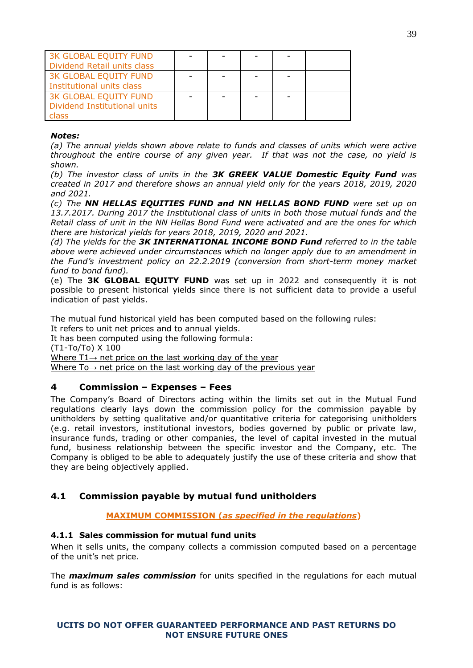| 3K GLOBAL EQUITY FUND<br>Dividend Retail units class           |  |  |  |
|----------------------------------------------------------------|--|--|--|
| <b>3K GLOBAL EQUITY FUND</b><br>Institutional units class      |  |  |  |
| 3K GLOBAL EQUITY FUND<br>Dividend Institutional units<br>class |  |  |  |

## *Notes:*

*(a) The annual yields shown above relate to funds and classes of units which were active throughout the entire course of any given year. If that was not the case, no yield is shown.* 

*(b) The investor class of units in the 3K GREEK VALUE Domestic Equity Fund was created in 2017 and therefore shows an annual yield only for the years 2018, 2019, 2020 and 2021.*

*(c) The NN HELLAS EQUITIES FUND and NN HELLAS BOND FUND were set up on 13.7.2017. During 2017 the Institutional class of units in both those mutual funds and the Retail class of unit in the NN Hellas Bond Fund were activated and are the ones for which there are historical yields for years 2018, 2019, 2020 and 2021.*

*(d) The yields for the 3K INTERNATIONAL INCOME BOND Fund referred to in the table above were achieved under circumstances which no longer apply due to an amendment in the Fund's investment policy on 22.2.2019 (conversion from short-term money market fund to bond fund).* 

(e) The **3K GLOBAL EQUITY FUND** was set up in 2022 and consequently it is not possible to present historical yields since there is not sufficient data to provide a useful indication of past yields.

The mutual fund historical yield has been computed based on the following rules: It refers to unit net prices and to annual yields.

It has been computed using the following formula:

(Τ1-Το/Το) Χ 100

Where  $T1 \rightarrow$  net price on the last working day of the year

<span id="page-38-0"></span>Where To→ net price on the last working day of the previous year

# **4 Commission – Expenses – Fees**

The Company's Board of Directors acting within the limits set out in the Mutual Fund regulations clearly lays down the commission policy for the commission payable by unitholders by setting qualitative and/or quantitative criteria for categorising unitholders (e.g. retail investors, institutional investors, bodies governed by public or private law, insurance funds, trading or other companies, the level of capital invested in the mutual fund, business relationship between the specific investor and the Company, etc. The Company is obliged to be able to adequately justify the use of these criteria and show that they are being objectively applied.

# <span id="page-38-1"></span>**4.1 Commission payable by mutual fund unitholders**

**MAXIMUM COMMISSION (***as specified in the regulations***)**

# <span id="page-38-2"></span>**4.1.1 Sales commission for mutual fund units**

When it sells units, the company collects a commission computed based on a percentage of the unit's net price.

The *maximum sales commission* for units specified in the regulations for each mutual fund is as follows: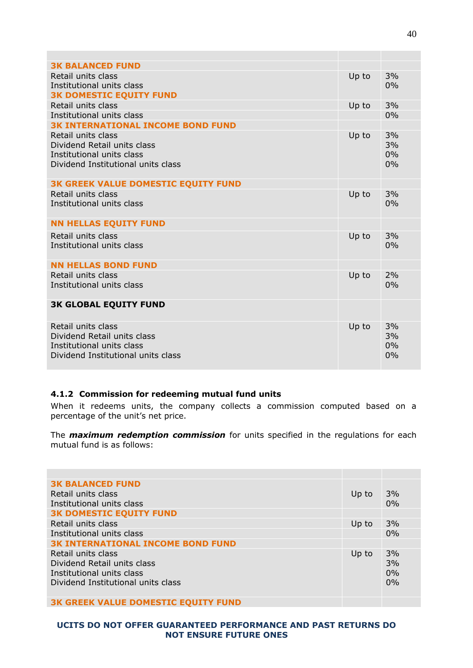| <b>3K BALANCED FUND</b>                                  |       |          |
|----------------------------------------------------------|-------|----------|
| Retail units class                                       | Up to | 3%       |
| Institutional units class                                |       | 0%       |
| <b>3K DOMESTIC EQUITY FUND</b>                           |       |          |
| Retail units class                                       | Up to | 3%       |
| Institutional units class                                |       | 0%       |
| <b>3K INTERNATIONAL INCOME BOND FUND</b>                 |       |          |
| Retail units class                                       | Up to | 3%       |
| Dividend Retail units class<br>Institutional units class |       | 3%<br>0% |
| Dividend Institutional units class                       |       | 0%       |
|                                                          |       |          |
| <b>3K GREEK VALUE DOMESTIC EQUITY FUND</b>               |       |          |
| Retail units class                                       | Up to | 3%       |
| Institutional units class                                |       | 0%       |
|                                                          |       |          |
| <b>NN HELLAS EQUITY FUND</b>                             |       |          |
| Retail units class                                       | Up to | 3%       |
| Institutional units class                                |       | 0%       |
|                                                          |       |          |
| <b>NN HELLAS BOND FUND</b>                               |       |          |
| Retail units class                                       | Up to | 2%       |
| Institutional units class                                |       | 0%       |
| <b>3K GLOBAL EQUITY FUND</b>                             |       |          |
|                                                          |       |          |
| Retail units class                                       | Up to | 3%       |
| Dividend Retail units class                              |       | 3%       |
| Institutional units class                                |       | 0%       |
| Dividend Institutional units class                       |       | 0%       |
|                                                          |       |          |

# <span id="page-39-0"></span>**4.1.2 Commission for redeeming mutual fund units**

When it redeems units, the company collects a commission computed based on a percentage of the unit's net price.

The *maximum redemption commission* for units specified in the regulations for each mutual fund is as follows:

| <b>3K BALANCED FUND</b><br>Retail units class<br>Institutional units class                                           | Up to | 3%<br>0%             |
|----------------------------------------------------------------------------------------------------------------------|-------|----------------------|
| <b>3K DOMESTIC EQUITY FUND</b>                                                                                       |       |                      |
| Retail units class                                                                                                   | Up to | 3%                   |
| Institutional units class                                                                                            |       | 0%                   |
| <b>3K INTERNATIONAL INCOME BOND FUND</b>                                                                             |       |                      |
| Retail units class<br>Dividend Retail units class<br>Institutional units class<br>Dividend Institutional units class | Up to | 3%<br>3%<br>0%<br>0% |
| <b>3K GREEK VALUE DOMESTIC EQUITY FUND</b>                                                                           |       |                      |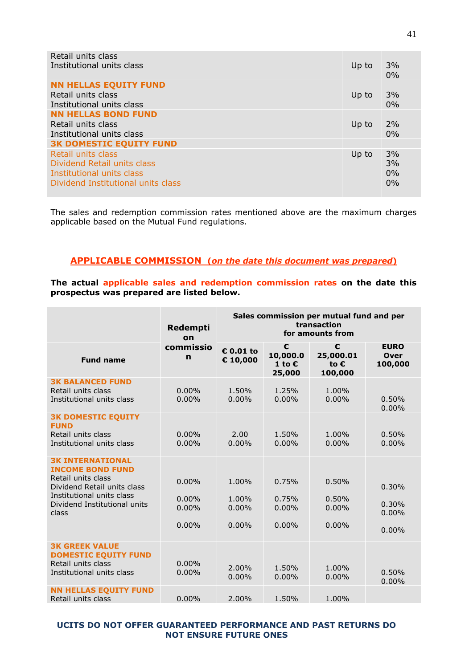| Retail units class<br>Institutional units class    | Up to | 3%<br>0% |
|----------------------------------------------------|-------|----------|
| <b>NN HELLAS EQUITY FUND</b><br>Retail units class | Up to | 3%       |
| Institutional units class                          |       | 0%       |
| <b>NN HELLAS BOND FUND</b>                         |       |          |
| Retail units class                                 | Up to | 2%       |
| Institutional units class                          |       | 0%       |
| <b>3K DOMESTIC EQUITY FUND</b>                     |       |          |
| Retail units class<br>Dividend Retail units class  | Up to | 3%<br>3% |
| Institutional units class                          |       | 0%       |
| Dividend Institutional units class                 |       | 0%       |
|                                                    |       |          |

The sales and redemption commission rates mentioned above are the maximum charges applicable based on the Mutual Fund regulations.

# **APPLICABLE COMMISSION (***on the date this document was prepared***)**

**The actual applicable sales and redemption commission rates on the date this prospectus was prepared are listed below.**

|                                                                                                                                                                               | Redempti<br>on                            | Sales commission per mutual fund and per<br>transaction<br>for amounts from |                                            |                                        |                                       |
|-------------------------------------------------------------------------------------------------------------------------------------------------------------------------------|-------------------------------------------|-----------------------------------------------------------------------------|--------------------------------------------|----------------------------------------|---------------------------------------|
| <b>Fund name</b>                                                                                                                                                              | commissio<br>$\mathbf n$                  | € 0.01 to<br>€ 10,000                                                       | €<br>10,000.0<br>1 to $\epsilon$<br>25,000 | €<br>25,000.01<br>to €<br>100,000      | <b>EURO</b><br><b>Over</b><br>100,000 |
| <b>3K BALANCED FUND</b><br>Retail units class<br>Institutional units class                                                                                                    | $0.00\%$<br>0.00%                         | 1.50%<br>$0.00\%$                                                           | 1.25%<br>$0.00\%$                          | 1.00%<br>0.00%                         | 0.50%<br>0.00%                        |
| <b>3K DOMESTIC EQUITY</b><br><b>FUND</b><br>Retail units class<br>Institutional units class                                                                                   | $0.00\%$<br>$0.00\%$                      | 2.00<br>0.00%                                                               | 1.50%<br>0.00%                             | 1.00%<br>0.00%                         | 0.50%<br>0.00%                        |
| <b>3K INTERNATIONAL</b><br><b>INCOME BOND FUND</b><br>Retail units class<br>Dividend Retail units class<br>Institutional units class<br>Dividend Institutional units<br>class | 0.00%<br>$0.00\%$<br>$0.00\%$<br>$0.00\%$ | 1.00%<br>1.00%<br>$0.00\%$<br>$0.00\%$                                      | 0.75%<br>0.75%<br>$0.00\%$<br>$0.00\%$     | 0.50%<br>0.50%<br>$0.00\%$<br>$0.00\%$ | 0.30%<br>0.30%<br>0.00%<br>$0.00\%$   |
| <b>3K GREEK VALUE</b><br><b>DOMESTIC EQUITY FUND</b><br>Retail units class<br>Institutional units class                                                                       | $0.00\%$<br>$0.00\%$                      | 2.00%<br>$0.00\%$                                                           | 1.50%<br>$0.00\%$                          | 1.00%<br>0.00%                         | 0.50%<br>0.00%                        |
| <b>NN HELLAS EQUITY FUND</b><br>Retail units class                                                                                                                            | $0.00\%$                                  | 2.00%                                                                       | 1.50%                                      | 1.00%                                  |                                       |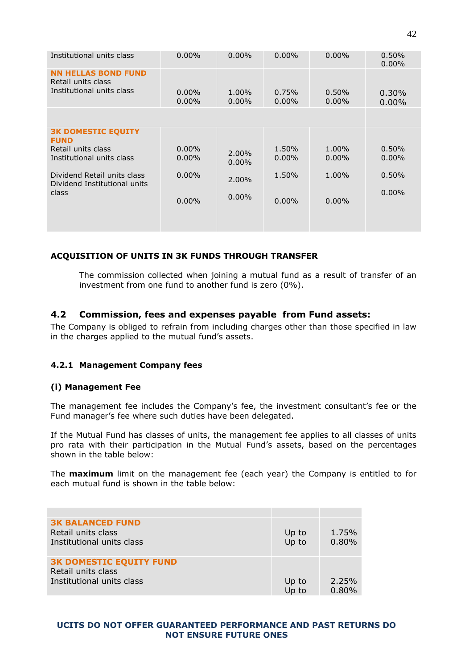| Institutional units class                                                     | $0.00\%$             | $0.00\%$          | $0.00\%$          | $0.00\%$             | 0.50%<br>$0.00\%$ |
|-------------------------------------------------------------------------------|----------------------|-------------------|-------------------|----------------------|-------------------|
| <b>NN HELLAS BOND FUND</b><br>Retail units class<br>Institutional units class | $0.00\%$<br>$0.00\%$ | 1.00%<br>$0.00\%$ | 0.75%<br>$0.00\%$ | $0.50\%$<br>$0.00\%$ | 0.30%<br>$0.00\%$ |
|                                                                               |                      |                   |                   |                      |                   |
| <b>3K DOMESTIC EQUITY</b><br><b>FUND</b>                                      |                      |                   |                   |                      |                   |
| Retail units class<br>Institutional units class                               | $0.00\%$<br>$0.00\%$ | 2.00%<br>$0.00\%$ | 1.50%<br>$0.00\%$ | 1.00%<br>$0.00\%$    | 0.50%<br>$0.00\%$ |
| Dividend Retail units class<br>Dividend Institutional units                   | $0.00\%$             | 2.00%             | 1.50%             | 1.00%                | 0.50%             |
| class                                                                         | $0.00\%$             | $0.00\%$          | $0.00\%$          | $0.00\%$             | $0.00\%$          |
|                                                                               |                      |                   |                   |                      |                   |

# **ACQUISITION OF UNITS IN 3K FUNDS THROUGH TRANSFER**

The commission collected when joining a mutual fund as a result of transfer of an investment from one fund to another fund is zero (0%).

# <span id="page-41-0"></span>**4.2 Commission, fees and expenses payable from Fund assets:**

The Company is obliged to refrain from including charges other than those specified in law in the charges applied to the mutual fund's assets.

# <span id="page-41-1"></span>**4.2.1 Management Company fees**

#### **(i) Management Fee**

The management fee includes the Company's fee, the investment consultant's fee or the Fund manager's fee where such duties have been delegated.

If the Mutual Fund has classes of units, the management fee applies to all classes of units pro rata with their participation in the Mutual Fund's assets, based on the percentages shown in the table below:

The **maximum** limit on the management fee (each year) the Company is entitled to for each mutual fund is shown in the table below:

| <b>3K BALANCED FUND</b><br>Retail units class<br>Institutional units class        | Up to<br>Up to | 1.75%<br>0.80% |
|-----------------------------------------------------------------------------------|----------------|----------------|
| <b>3K DOMESTIC EQUITY FUND</b><br>Retail units class<br>Institutional units class | Up to<br>Up to | 2.25%<br>0.80% |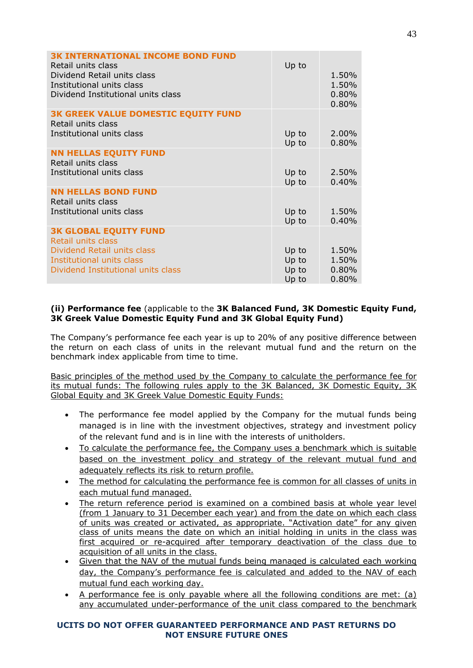| <b>3K INTERNATIONAL INCOME BOND FUND</b><br>Retail units class<br>Dividend Retail units class<br>Institutional units class<br>Dividend Institutional units class | Up to                            | 1.50%<br>1.50%<br>0.80%<br>0.80% |
|------------------------------------------------------------------------------------------------------------------------------------------------------------------|----------------------------------|----------------------------------|
| <b>3K GREEK VALUE DOMESTIC EQUITY FUND</b><br>Retail units class<br>Institutional units class                                                                    | Up to<br>Up to                   | 2.00%<br>0.80%                   |
| <b>NN HELLAS EQUITY FUND</b><br>Retail units class<br>Institutional units class                                                                                  | Up to<br>Up to                   | 2.50%<br>0.40%                   |
| <b>NN HELLAS BOND FUND</b><br>Retail units class<br>Institutional units class                                                                                    | Up to<br>Up to                   | 1.50%<br>0.40%                   |
| <b>3K GLOBAL EQUITY FUND</b><br>Retail units class<br>Dividend Retail units class<br>Institutional units class<br>Dividend Institutional units class             | Up to<br>Up to<br>Up to<br>Up to | 1.50%<br>1.50%<br>0.80%<br>0.80% |

# **(ii) Performance fee** (applicable to the **3K Balanced Fund, 3K Domestic Equity Fund, 3K Greek Value Domestic Equity Fund and 3K Global Equity Fund)**

The Company's performance fee each year is up to 20% of any positive difference between the return on each class of units in the relevant mutual fund and the return on the benchmark index applicable from time to time.

Basic principles of the method used by the Company to calculate the performance fee for its mutual funds: The following rules apply to the 3K Balanced, 3K Domestic Equity, 3K Global Equity and 3K Greek Value Domestic Equity Funds:

- The performance fee model applied by the Company for the mutual funds being managed is in line with the investment objectives, strategy and investment policy of the relevant fund and is in line with the interests of unitholders.
- To calculate the performance fee, the Company uses a benchmark which is suitable based on the investment policy and strategy of the relevant mutual fund and adequately reflects its risk to return profile.
- The method for calculating the performance fee is common for all classes of units in each mutual fund managed.
- The return reference period is examined on a combined basis at whole year level (from 1 January to 31 December each year) and from the date on which each class of units was created or activated, as appropriate. "Activation date" for any given class of units means the date on which an initial holding in units in the class was first acquired or re-acquired after temporary deactivation of the class due to acquisition of all units in the class.
- Given that the NAV of the mutual funds being managed is calculated each working day, the Company's performance fee is calculated and added to the NAV of each mutual fund each working day.
- A performance fee is only payable where all the following conditions are met: (a) any accumulated under-performance of the unit class compared to the benchmark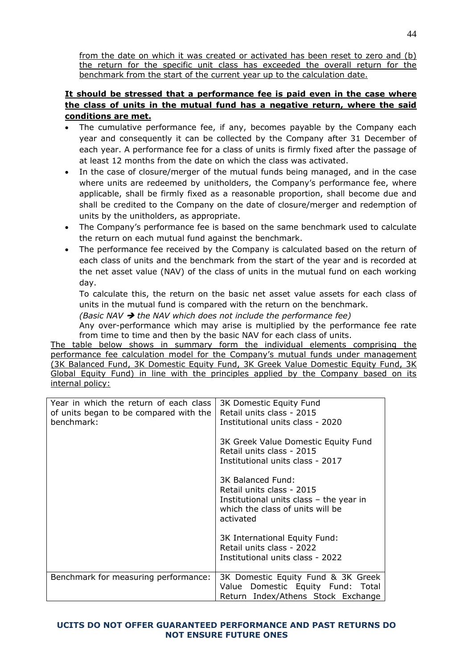from the date on which it was created or activated has been reset to zero and (b) the return for the specific unit class has exceeded the overall return for the benchmark from the start of the current year up to the calculation date.

# **It should be stressed that a performance fee is paid even in the case where the class of units in the mutual fund has a negative return, where the said conditions are met.**

- The cumulative performance fee, if any, becomes payable by the Company each year and consequently it can be collected by the Company after 31 December of each year. A performance fee for a class of units is firmly fixed after the passage of at least 12 months from the date on which the class was activated.
- In the case of closure/merger of the mutual funds being managed, and in the case where units are redeemed by unitholders, the Company's performance fee, where applicable, shall be firmly fixed as a reasonable proportion, shall become due and shall be credited to the Company on the date of closure/merger and redemption of units by the unitholders, as appropriate.
- The Company's performance fee is based on the same benchmark used to calculate the return on each mutual fund against the benchmark.
- The performance fee received by the Company is calculated based on the return of each class of units and the benchmark from the start of the year and is recorded at the net asset value (NAV) of the class of units in the mutual fund on each working day.

To calculate this, the return on the basic net asset value assets for each class of units in the mutual fund is compared with the return on the benchmark.

*(Basic NAV the NAV which does not include the performance fee)*

Any over-performance which may arise is multiplied by the performance fee rate from time to time and then by the basic NAV for each class of units.

The table below shows in summary form the individual elements comprising the performance fee calculation model for the Company's mutual funds under management (3K Balanced Fund, 3K Domestic Equity Fund, 3K Greek Value Domestic Equity Fund, 3K Global Equity Fund) in line with the principles applied by the Company based on its internal policy:

| Year in which the return of each class<br>of units began to be compared with the<br>benchmark: | 3K Domestic Equity Fund<br>Retail units class - 2015<br>Institutional units class - 2020                                                   |
|------------------------------------------------------------------------------------------------|--------------------------------------------------------------------------------------------------------------------------------------------|
|                                                                                                | 3K Greek Value Domestic Equity Fund<br>Retail units class - 2015<br>Institutional units class - 2017                                       |
|                                                                                                | 3K Balanced Fund:<br>Retail units class - 2015<br>Institutional units class - the year in<br>which the class of units will be<br>activated |
|                                                                                                | 3K International Equity Fund:<br>Retail units class - 2022<br>Institutional units class - 2022                                             |
| Benchmark for measuring performance:                                                           | 3K Domestic Equity Fund & 3K Greek<br>Value Domestic Equity Fund: Total<br>Return Index/Athens Stock Exchange                              |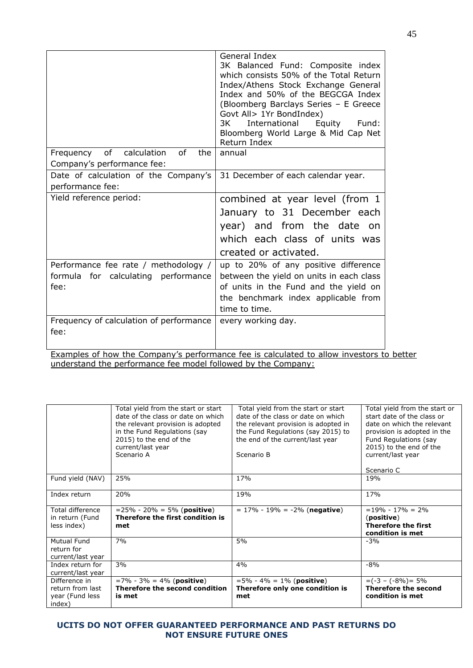|                                                                                                                                                                                                                                                             | General Index<br>3K Balanced Fund: Composite index<br>which consists 50% of the Total Return<br>Index/Athens Stock Exchange General<br>Index and 50% of the BEGCGA Index<br>(Bloomberg Barclays Series - E Greece<br>Govt All> 1Yr BondIndex)<br>International<br>3K<br>Equity Fund:<br>Bloomberg World Large & Mid Cap Net<br>Return Index |
|-------------------------------------------------------------------------------------------------------------------------------------------------------------------------------------------------------------------------------------------------------------|---------------------------------------------------------------------------------------------------------------------------------------------------------------------------------------------------------------------------------------------------------------------------------------------------------------------------------------------|
| of calculation<br>of<br>the<br>Frequency                                                                                                                                                                                                                    | annual                                                                                                                                                                                                                                                                                                                                      |
|                                                                                                                                                                                                                                                             |                                                                                                                                                                                                                                                                                                                                             |
|                                                                                                                                                                                                                                                             |                                                                                                                                                                                                                                                                                                                                             |
|                                                                                                                                                                                                                                                             |                                                                                                                                                                                                                                                                                                                                             |
|                                                                                                                                                                                                                                                             | combined at year level (from 1                                                                                                                                                                                                                                                                                                              |
|                                                                                                                                                                                                                                                             | January to 31 December each                                                                                                                                                                                                                                                                                                                 |
|                                                                                                                                                                                                                                                             |                                                                                                                                                                                                                                                                                                                                             |
|                                                                                                                                                                                                                                                             |                                                                                                                                                                                                                                                                                                                                             |
|                                                                                                                                                                                                                                                             |                                                                                                                                                                                                                                                                                                                                             |
|                                                                                                                                                                                                                                                             |                                                                                                                                                                                                                                                                                                                                             |
|                                                                                                                                                                                                                                                             |                                                                                                                                                                                                                                                                                                                                             |
|                                                                                                                                                                                                                                                             |                                                                                                                                                                                                                                                                                                                                             |
|                                                                                                                                                                                                                                                             |                                                                                                                                                                                                                                                                                                                                             |
|                                                                                                                                                                                                                                                             |                                                                                                                                                                                                                                                                                                                                             |
|                                                                                                                                                                                                                                                             |                                                                                                                                                                                                                                                                                                                                             |
|                                                                                                                                                                                                                                                             |                                                                                                                                                                                                                                                                                                                                             |
|                                                                                                                                                                                                                                                             |                                                                                                                                                                                                                                                                                                                                             |
| Company's performance fee:<br>Date of calculation of the Company's<br>performance fee:<br>Yield reference period:<br>Performance fee rate / methodology /<br>formula for calculating performance<br>fee:<br>Frequency of calculation of performance<br>fee: | 31 December of each calendar year.<br>year) and from the date on<br>which each class of units was<br>created or activated.<br>up to 20% of any positive difference<br>between the yield on units in each class<br>of units in the Fund and the yield on<br>the benchmark index applicable from<br>time to time.<br>every working day.       |

Examples of how the Company's performance fee is calculated to allow investors to better understand the performance fee model followed by the Company:

|                                                                | Total yield from the start or start<br>date of the class or date on which<br>the relevant provision is adopted<br>in the Fund Regulations (say<br>2015) to the end of the<br>current/last year<br>Scenario A | Total yield from the start or start<br>date of the class or date on which<br>the relevant provision is adopted in<br>the Fund Regulations (say 2015) to<br>the end of the current/last year<br>Scenario B | Total yield from the start or<br>start date of the class or<br>date on which the relevant<br>provision is adopted in the<br>Fund Regulations (say<br>2015) to the end of the<br>current/last year<br>Scenario C |
|----------------------------------------------------------------|--------------------------------------------------------------------------------------------------------------------------------------------------------------------------------------------------------------|-----------------------------------------------------------------------------------------------------------------------------------------------------------------------------------------------------------|-----------------------------------------------------------------------------------------------------------------------------------------------------------------------------------------------------------------|
| Fund yield (NAV)                                               | 25%                                                                                                                                                                                                          | 17%                                                                                                                                                                                                       | 19%                                                                                                                                                                                                             |
| Index return                                                   | 20%                                                                                                                                                                                                          | 19%                                                                                                                                                                                                       | 17%                                                                                                                                                                                                             |
| <b>Total difference</b><br>in return (Fund<br>less index)      | $= 25\% - 20\% = 5\%$ (positive)<br>Therefore the first condition is<br>met                                                                                                                                  | $= 17\% - 19\% = -2\%$ (negative)                                                                                                                                                                         | $= 19\% - 17\% = 2\%$<br>(positive)<br>Therefore the first<br>condition is met                                                                                                                                  |
| Mutual Fund<br>return for<br>current/last year                 | 7%                                                                                                                                                                                                           | 5%                                                                                                                                                                                                        | $-3%$                                                                                                                                                                                                           |
| Index return for<br>current/last year                          | 3%                                                                                                                                                                                                           | 4%                                                                                                                                                                                                        | $-8%$                                                                                                                                                                                                           |
| Difference in<br>return from last<br>year (Fund less<br>index) | $=7\% - 3\% = 4\%$ (positive)<br>Therefore the second condition<br>is met                                                                                                                                    | $=5\% - 4\% = 1\%$ (positive)<br>Therefore only one condition is<br>met                                                                                                                                   | $=(-3 - (-8%) = 5%$<br><b>Therefore the second</b><br>condition is met                                                                                                                                          |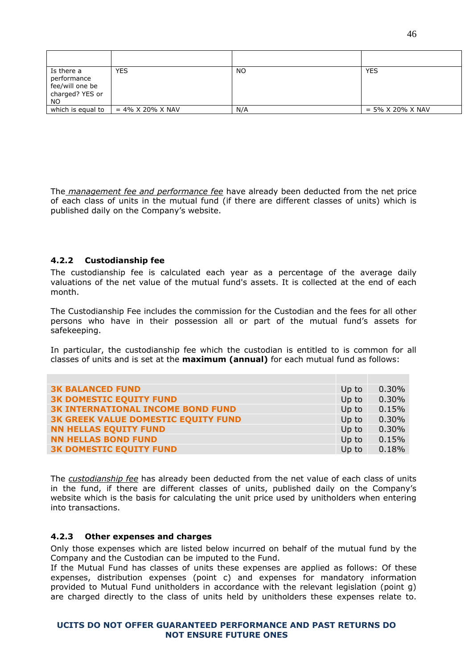| Is there a<br>performance<br>fee/will one be<br>charged? YES or<br><b>NO</b> | <b>YES</b>          | <b>NO</b> | <b>YES</b>                     |
|------------------------------------------------------------------------------|---------------------|-----------|--------------------------------|
| which is equal to                                                            | $= 4\%$ X 20% X NAV | N/A       | $= 5\% \times 20\% \times NAV$ |

The *management fee and performance fee* have already been deducted from the net price of each class of units in the mutual fund (if there are different classes of units) which is published daily on the Company's website.

#### <span id="page-45-0"></span>**4.2.2 Custodianship fee**

The custodianship fee is calculated each year as a percentage of the average daily valuations of the net value of the mutual fund's assets. It is collected at the end of each month.

The Custodianship Fee includes the commission for the Custodian and the fees for all other persons who have in their possession all or part of the mutual fund's assets for safekeeping.

In particular, the custodianship fee which the custodian is entitled to is common for all classes of units and is set at the **maximum (annual)** for each mutual fund as follows:

| <b>3K BALANCED FUND</b>                    | Up to | 0.30% |
|--------------------------------------------|-------|-------|
| <b>3K DOMESTIC EQUITY FUND</b>             | Up to | 0.30% |
| <b>3K INTERNATIONAL INCOME BOND FUND</b>   | Up to | 0.15% |
| <b>3K GREEK VALUE DOMESTIC EQUITY FUND</b> | Up to | 0.30% |
| <b>NN HELLAS EQUITY FUND</b>               | Up to | 0.30% |
| <b>NN HELLAS BOND FUND</b>                 | Up to | 0.15% |
| <b>3K DOMESTIC EQUITY FUND</b>             | Up to | 0.18% |

The *custodianship fee* has already been deducted from the net value of each class of units in the fund, if there are different classes of units, published daily on the Company's website which is the basis for calculating the unit price used by unitholders when entering into transactions.

#### <span id="page-45-1"></span>**4.2.3 Other expenses and charges**

Only those expenses which are listed below incurred on behalf of the mutual fund by the Company and the Custodian can be imputed to the Fund.

If the Mutual Fund has classes of units these expenses are applied as follows: Of these expenses, distribution expenses (point c) and expenses for mandatory information provided to Mutual Fund unitholders in accordance with the relevant legislation (point g) are charged directly to the class of units held by unitholders these expenses relate to.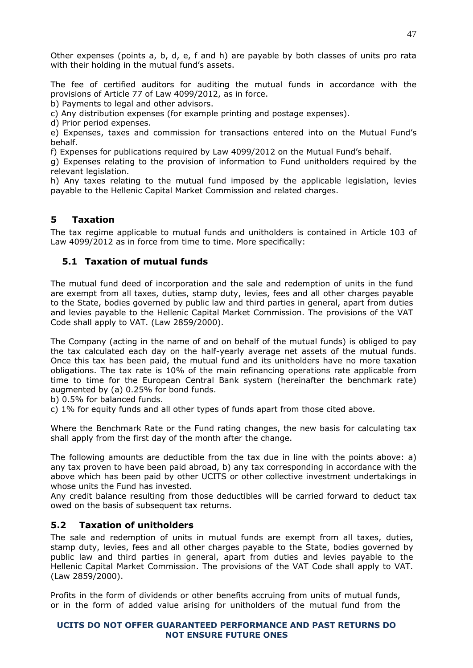Other expenses (points a, b, d, e, f and h) are payable by both classes of units pro rata with their holding in the mutual fund's assets.

The fee of certified auditors for auditing the mutual funds in accordance with the provisions of Article 77 of Law 4099/2012, as in force.

b) Payments to legal and other advisors.

c) Any distribution expenses (for example printing and postage expenses).

d) Prior period expenses.

e) Expenses, taxes and commission for transactions entered into on the Mutual Fund's behalf.

f) Expenses for publications required by Law 4099/2012 on the Mutual Fund's behalf.

g) Expenses relating to the provision of information to Fund unitholders required by the relevant legislation.

h) Any taxes relating to the mutual fund imposed by the applicable legislation, levies payable to the Hellenic Capital Market Commission and related charges.

# <span id="page-46-0"></span>**5 Taxation**

The tax regime applicable to mutual funds and unitholders is contained in Article 103 of Law 4099/2012 as in force from time to time. More specifically:

# <span id="page-46-1"></span>**5.1 Taxation of mutual funds**

The mutual fund deed of incorporation and the sale and redemption of units in the fund are exempt from all taxes, duties, stamp duty, levies, fees and all other charges payable to the State, bodies governed by public law and third parties in general, apart from duties and levies payable to the Hellenic Capital Market Commission. The provisions of the VAT Code shall apply to VAT. (Law 2859/2000).

The Company (acting in the name of and on behalf of the mutual funds) is obliged to pay the tax calculated each day on the half-yearly average net assets of the mutual funds. Once this tax has been paid, the mutual fund and its unitholders have no more taxation obligations. The tax rate is 10% of the main refinancing operations rate applicable from time to time for the European Central Bank system (hereinafter the benchmark rate) augmented by (a) 0.25% for bond funds.

b) 0.5% for balanced funds.

c) 1% for equity funds and all other types of funds apart from those cited above.

Where the Benchmark Rate or the Fund rating changes, the new basis for calculating tax shall apply from the first day of the month after the change.

The following amounts are deductible from the tax due in line with the points above: a) any tax proven to have been paid abroad, b) any tax corresponding in accordance with the above which has been paid by other UCITS or other collective investment undertakings in whose units the Fund has invested.

Any credit balance resulting from those deductibles will be carried forward to deduct tax owed on the basis of subsequent tax returns.

# <span id="page-46-2"></span>**5.2 Taxation of unitholders**

The sale and redemption of units in mutual funds are exempt from all taxes, duties, stamp duty, levies, fees and all other charges payable to the State, bodies governed by public law and third parties in general, apart from duties and levies payable to the Hellenic Capital Market Commission. The provisions of the VAT Code shall apply to VAT. (Law 2859/2000).

Profits in the form of dividends or other benefits accruing from units of mutual funds, or in the form of added value arising for unitholders of the mutual fund from the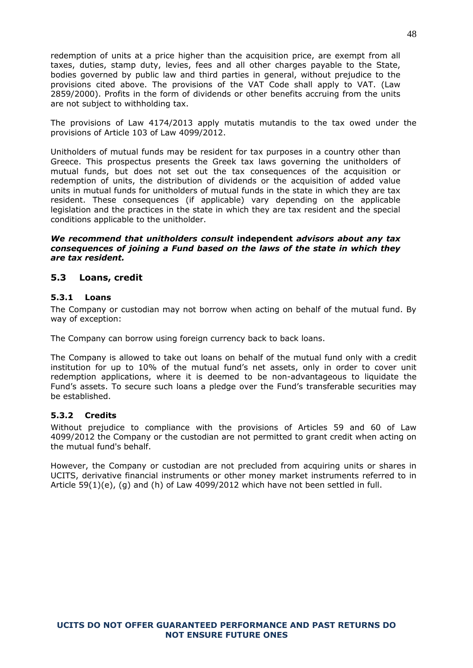redemption of units at a price higher than the acquisition price, are exempt from all taxes, duties, stamp duty, levies, fees and all other charges payable to the State, bodies governed by public law and third parties in general, without prejudice to the provisions cited above. The provisions of the VAT Code shall apply to VAT. (Law 2859/2000). Profits in the form of dividends or other benefits accruing from the units are not subject to withholding tax.

The provisions of Law 4174/2013 apply mutatis mutandis to the tax owed under the provisions of Article 103 of Law 4099/2012.

Unitholders of mutual funds may be resident for tax purposes in a country other than Greece. This prospectus presents the Greek tax laws governing the unitholders of mutual funds, but does not set out the tax consequences of the acquisition or redemption of units, the distribution of dividends or the acquisition of added value units in mutual funds for unitholders of mutual funds in the state in which they are tax resident. These consequences (if applicable) vary depending on the applicable legislation and the practices in the state in which they are tax resident and the special conditions applicable to the unitholder.

# *We recommend that unitholders consult* **independent** *advisors about any tax consequences of joining a Fund based on the laws of the state in which they are tax resident.*

# <span id="page-47-0"></span>**5.3 Loans, credit**

#### <span id="page-47-1"></span>**5.3.1 Loans**

The Company or custodian may not borrow when acting on behalf of the mutual fund. By way of exception:

The Company can borrow using foreign currency back to back loans.

The Company is allowed to take out loans on behalf of the mutual fund only with a credit institution for up to 10% of the mutual fund's net assets, only in order to cover unit redemption applications, where it is deemed to be non-advantageous to liquidate the Fund's assets. To secure such loans a pledge over the Fund's transferable securities may be established.

# <span id="page-47-2"></span>**5.3.2 Credits**

Without prejudice to compliance with the provisions of Articles 59 and 60 of Law 4099/2012 the Company or the custodian are not permitted to grant credit when acting on the mutual fund's behalf.

However, the Company or custodian are not precluded from acquiring units or shares in UCITS, derivative financial instruments or other money market instruments referred to in Article  $59(1)(e)$ , (g) and (h) of Law 4099/2012 which have not been settled in full.